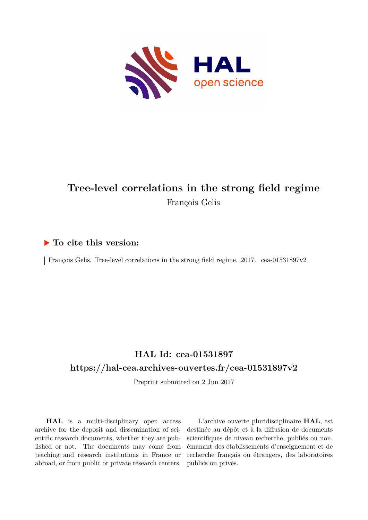

# **Tree-level correlations in the strong field regime** François Gelis

# **To cite this version:**

François Gelis. Tree-level correlations in the strong field regime.  $2017.$  cea-01531897v2

# **HAL Id: cea-01531897 <https://hal-cea.archives-ouvertes.fr/cea-01531897v2>**

Preprint submitted on 2 Jun 2017

**HAL** is a multi-disciplinary open access archive for the deposit and dissemination of scientific research documents, whether they are published or not. The documents may come from teaching and research institutions in France or abroad, or from public or private research centers.

L'archive ouverte pluridisciplinaire **HAL**, est destinée au dépôt et à la diffusion de documents scientifiques de niveau recherche, publiés ou non, émanant des établissements d'enseignement et de recherche français ou étrangers, des laboratoires publics ou privés.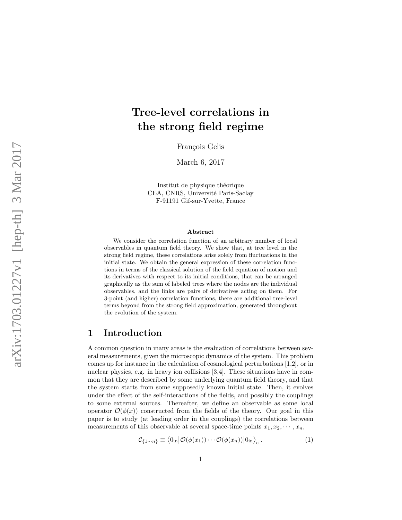# Tree-level correlations in the strong field regime

François Gelis

March 6, 2017

Institut de physique théorique CEA, CNRS, Université Paris-Saclay F-91191 Gif-sur-Yvette, France

#### Abstract

We consider the correlation function of an arbitrary number of local observables in quantum field theory. We show that, at tree level in the strong field regime, these correlations arise solely from fluctuations in the initial state. We obtain the general expression of these correlation functions in terms of the classical solution of the field equation of motion and its derivatives with respect to its initial conditions, that can be arranged graphically as the sum of labeled trees where the nodes are the individual observables, and the links are pairs of derivatives acting on them. For 3-point (and higher) correlation functions, there are additional tree-level terms beyond from the strong field approximation, generated throughout the evolution of the system.

# 1 Introduction

A common question in many areas is the evaluation of correlations between several measurements, given the microscopic dynamics of the system. This problem comes up for instance in the calculation of cosmological perturbations [1,2], or in nuclear physics, e.g. in heavy ion collisions [3,4]. These situations have in common that they are described by some underlying quantum field theory, and that the system starts from some supposedly known initial state. Then, it evolves under the effect of the self-interactions of the fields, and possibly the couplings to some external sources. Thereafter, we define an observable as some local operator  $\mathcal{O}(\phi(x))$  constructed from the fields of the theory. Our goal in this paper is to study (at leading order in the couplings) the correlations between measurements of this observable at several space-time points  $x_1, x_2, \dots, x_n$ ,

$$
\mathcal{C}_{\{1\cdots n\}} \equiv \langle 0_{\text{in}} | \mathcal{O}(\phi(x_1)) \cdots \mathcal{O}(\phi(x_n)) | 0_{\text{in}} \rangle_c . \tag{1}
$$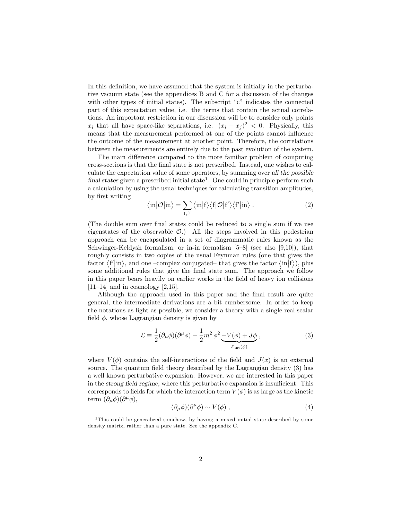In this definition, we have assumed that the system is initially in the perturbative vacuum state (see the appendices B and C for a discussion of the changes with other types of initial states). The subscript "c" indicates the connected part of this expectation value, i.e. the terms that contain the actual correlations. An important restriction in our discussion will be to consider only points  $x_i$  that all have space-like separations, i.e.  $(x_i - x_j)^2 < 0$ . Physically, this means that the measurement performed at one of the points cannot influence the outcome of the measurement at another point. Therefore, the correlations between the measurements are entirely due to the past evolution of the system.

The main difference compared to the more familiar problem of computing cross-sections is that the final state is not prescribed. Instead, one wishes to calculate the expectation value of some operators, by summing over all the possible final states given a prescribed initial state<sup>1</sup>. One could in principle perform such a calculation by using the usual techniques for calculating transition amplitudes, by first writing

$$
\langle \text{in} | \mathcal{O} | \text{in} \rangle = \sum_{f, f'} \langle \text{in} | f \rangle \langle f | \mathcal{O} | f' \rangle \langle f' | \text{in} \rangle . \tag{2}
$$

(The double sum over final states could be reduced to a single sum if we use eigenstates of the observable  $\mathcal{O}$ .) All the steps involved in this pedestrian approach can be encapsulated in a set of diagrammatic rules known as the Schwinger-Keldysh formalism, or in-in formalism [5–8] (see also [9,10]), that roughly consists in two copies of the usual Feynman rules (one that gives the factor  $\langle f' | \text{in} \rangle$ , and one –complex conjugated– that gives the factor  $\langle \text{in} | f \rangle$ ), plus some additional rules that give the final state sum. The approach we follow in this paper bears heavily on earlier works in the field of heavy ion collisions  $[11–14]$  and in cosmology  $[2,15]$ .

Although the approach used in this paper and the final result are quite general, the intermediate derivations are a bit cumbersome. In order to keep the notations as light as possible, we consider a theory with a single real scalar field  $\phi$ , whose Lagrangian density is given by

$$
\mathcal{L} \equiv \frac{1}{2} (\partial_{\mu} \phi)(\partial^{\mu} \phi) - \frac{1}{2} m^2 \phi^2 \underbrace{-V(\phi) + J\phi}_{\mathcal{L}_{int}(\phi)},
$$
\n(3)

where  $V(\phi)$  contains the self-interactions of the field and  $J(x)$  is an external source. The quantum field theory described by the Lagrangian density (3) has a well known perturbative expansion. However, we are interested in this paper in the strong field regime, where this perturbative expansion is insufficient. This corresponds to fields for which the interaction term  $V(\phi)$  is as large as the kinetic term  $(\partial_{\mu}\phi)(\partial^{\mu}\phi),$ 

$$
(\partial_{\mu}\phi)(\partial^{\mu}\phi) \sim V(\phi) , \qquad (4)
$$

<sup>&</sup>lt;sup>1</sup>This could be generalized somehow, by having a mixed initial state described by some density matrix, rather than a pure state. See the appendix C.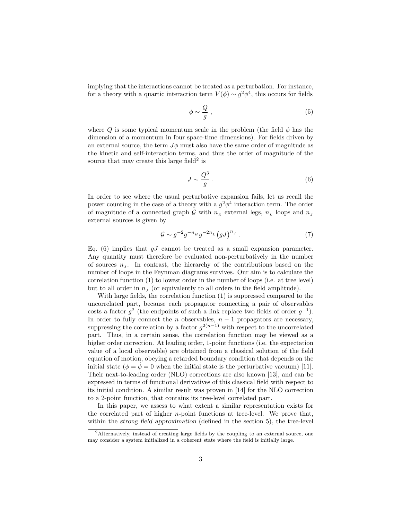implying that the interactions cannot be treated as a perturbation. For instance, for a theory with a quartic interaction term  $V(\phi) \sim g^2 \phi^4$ , this occurs for fields

$$
\phi \sim \frac{Q}{g} \,,\tag{5}
$$

where  $Q$  is some typical momentum scale in the problem (the field  $\phi$  has the dimension of a momentum in four space-time dimensions). For fields driven by an external source, the term  $J\phi$  must also have the same order of magnitude as the kinetic and self-interaction terms, and thus the order of magnitude of the source that may create this large field<sup>2</sup> is

$$
J \sim \frac{Q^3}{g} \ . \tag{6}
$$

In order to see where the usual perturbative expansion fails, let us recall the power counting in the case of a theory with a  $g^2\phi^4$  interaction term. The order of magnitude of a connected graph  $\mathcal G$  with  $n_E$  external legs,  $n_L$  loops and  $n_J$ external sources is given by

$$
\mathcal{G} \sim g^{-2} g^{-n_E} g^{-2n_L} (gJ)^{n_J} . \tag{7}
$$

Eq. (6) implies that  $gJ$  cannot be treated as a small expansion parameter. Any quantity must therefore be evaluated non-perturbatively in the number of sources  $n<sub>J</sub>$ . In contrast, the hierarchy of the contributions based on the number of loops in the Feynman diagrams survives. Our aim is to calculate the correlation function (1) to lowest order in the number of loops (i.e. at tree level) but to all order in  $n<sub>J</sub>$  (or equivalently to all orders in the field amplitude).

With large fields, the correlation function (1) is suppressed compared to the uncorrelated part, because each propagator connecting a pair of observables costs a factor  $g^2$  (the endpoints of such a link replace two fields of order  $g^{-1}$ ). In order to fully connect the n observables,  $n - 1$  propagators are necessary, suppressing the correlation by a factor  $g^{2(n-1)}$  with respect to the uncorrelated part. Thus, in a certain sense, the correlation function may be viewed as a higher order correction. At leading order, 1-point functions (i.e. the expectation value of a local observable) are obtained from a classical solution of the field equation of motion, obeying a retarded boundary condition that depends on the initial state ( $\phi = \phi = 0$  when the initial state is the perturbative vacuum) [11]. Their next-to-leading order (NLO) corrections are also known [13], and can be expressed in terms of functional derivatives of this classical field with respect to its initial condition. A similar result was proven in [14] for the NLO correction to a 2-point function, that contains its tree-level correlated part.

In this paper, we assess to what extent a similar representation exists for the correlated part of higher  $n$ -point functions at tree-level. We prove that, within the strong field approximation (defined in the section 5), the tree-level

<sup>2</sup>Alternatively, instead of creating large fields by the coupling to an external source, one may consider a system initialized in a coherent state where the field is initially large.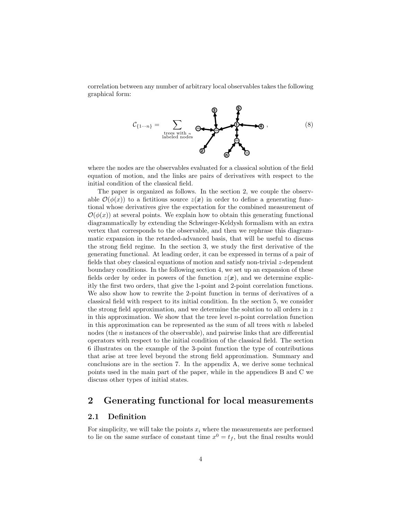correlation between any number of arbitrary local observables takes the following graphical form:



where the nodes are the observables evaluated for a classical solution of the field equation of motion, and the links are pairs of derivatives with respect to the initial condition of the classical field.

The paper is organized as follows. In the section 2, we couple the observable  $\mathcal{O}(\phi(x))$  to a fictitious source  $z(x)$  in order to define a generating functional whose derivatives give the expectation for the combined measurement of  $\mathcal{O}(\phi(x))$  at several points. We explain how to obtain this generating functional diagrammatically by extending the Schwinger-Keldysh formalism with an extra vertex that corresponds to the observable, and then we rephrase this diagrammatic expansion in the retarded-advanced basis, that will be useful to discuss the strong field regime. In the section 3, we study the first derivative of the generating functional. At leading order, it can be expressed in terms of a pair of fields that obey classical equations of motion and satisfy non-trivial z-dependent boundary conditions. In the following section 4, we set up an expansion of these fields order by order in powers of the function  $z(x)$ , and we determine explicitly the first two orders, that give the 1-point and 2-point correlation functions. We also show how to rewrite the 2-point function in terms of derivatives of a classical field with respect to its initial condition. In the section 5, we consider the strong field approximation, and we determine the solution to all orders in  $z$ in this approximation. We show that the tree level  $n$ -point correlation function in this approximation can be represented as the sum of all trees with  $n$  labeled nodes (the n instances of the observable), and pairwise links that are differential operators with respect to the initial condition of the classical field. The section 6 illustrates on the example of the 3-point function the type of contributions that arise at tree level beyond the strong field approximation. Summary and conclusions are in the section 7. In the appendix A, we derive some technical points used in the main part of the paper, while in the appendices B and C we discuss other types of initial states.

# 2 Generating functional for local measurements

## 2.1 Definition

For simplicity, we will take the points  $x_i$  where the measurements are performed to lie on the same surface of constant time  $x^0 = t_f$ , but the final results would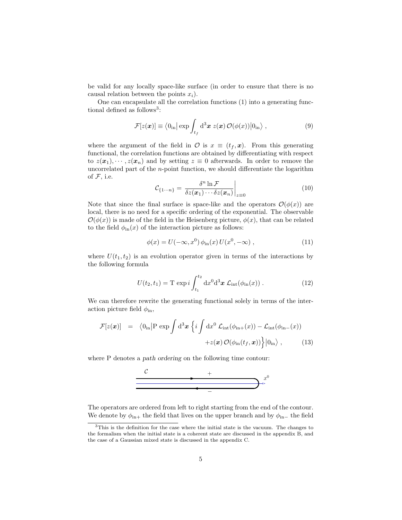be valid for any locally space-like surface (in order to ensure that there is no causal relation between the points  $x_i$ ).

One can encapsulate all the correlation functions (1) into a generating functional defined as follows<sup>3</sup>:

$$
\mathcal{F}[z(\boldsymbol{x})] \equiv \langle 0_{\rm in} | \exp \int_{t_f} d^3 \boldsymbol{x} \ z(\boldsymbol{x}) \, \mathcal{O}(\phi(x)) | 0_{\rm in} \rangle \ , \tag{9}
$$

where the argument of the field in  $\mathcal{O}$  is  $x \equiv (t_f, x)$ . From this generating functional, the correlation functions are obtained by differentiating with respect to  $z(\mathbf{x}_1), \dots, z(\mathbf{x}_n)$  and by setting  $z \equiv 0$  afterwards. In order to remove the uncorrelated part of the n-point function, we should differentiate the logarithm of  $F$ , i.e.

$$
\mathcal{C}_{\{1\cdots n\}} = \left. \frac{\delta^n \ln \mathcal{F}}{\delta z(\boldsymbol{x}_1) \cdots \delta z(\boldsymbol{x}_n)} \right|_{z=0} \tag{10}
$$

Note that since the final surface is space-like and the operators  $\mathcal{O}(\phi(x))$  are local, there is no need for a specific ordering of the exponential. The observable  $\mathcal{O}(\phi(x))$  is made of the field in the Heisenberg picture,  $\phi(x)$ , that can be related to the field  $\phi_{\text{in}}(x)$  of the interaction picture as follows:

$$
\phi(x) = U(-\infty, x^0) \phi_{\rm in}(x) U(x^0, -\infty) , \qquad (11)
$$

where  $U(t_1, t_2)$  is an evolution operator given in terms of the interactions by the following formula

$$
U(t_2, t_1) = T \exp i \int_{t_1}^{t_2} dx^0 d^3 \mathbf{x} \mathcal{L}_{int}(\phi_{in}(x)) . \qquad (12)
$$

We can therefore rewrite the generating functional solely in terms of the interaction picture field  $\phi_{\text{in}}$ ,

$$
\mathcal{F}[z(\boldsymbol{x})] = \langle 0_{\text{in}} | P \exp \int d^3 \boldsymbol{x} \left\{ i \int dx^0 \mathcal{L}_{\text{int}}(\phi_{\text{in}+}(\boldsymbol{x})) - \mathcal{L}_{\text{int}}(\phi_{\text{in}-}(\boldsymbol{x})) \right. \\ \left. + z(\boldsymbol{x}) \mathcal{O}(\phi_{\text{in}}(t_f, \boldsymbol{x})) \right\} | 0_{\text{in}} \rangle , \tag{13}
$$

where P denotes a *path ordering* on the following time contour:



The operators are ordered from left to right starting from the end of the contour. We denote by  $\phi_{\text{in+}}$  the field that lives on the upper branch and by  $\phi_{\text{in-}}$  the field

<sup>3</sup>This is the definition for the case where the initial state is the vacuum. The changes to the formalism when the initial state is a coherent state are discussed in the appendix B, and the case of a Gaussian mixed state is discussed in the appendix C.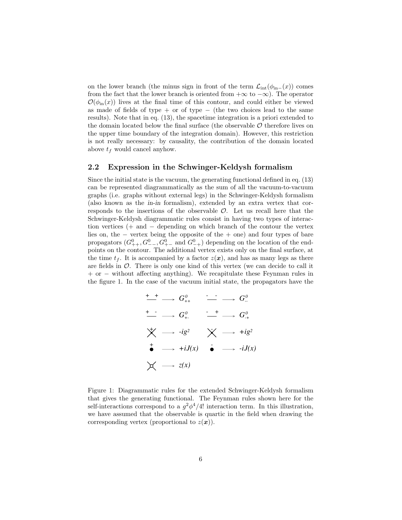on the lower branch (the minus sign in front of the term  $\mathcal{L}_{int}(\phi_{in-}(x))$  comes from the fact that the lower branch is oriented from  $+\infty$  to  $-\infty$ ). The operator  $\mathcal{O}(\phi_{\rm in}(x))$  lives at the final time of this contour, and could either be viewed as made of fields of type + or of type  $-$  (the two choices lead to the same results). Note that in eq. (13), the spacetime integration is a priori extended to the domain located below the final surface (the observable  $\mathcal O$  therefore lives on the upper time boundary of the integration domain). However, this restriction is not really necessary: by causality, the contribution of the domain located above  $t_f$  would cancel anyhow.

#### 2.2 Expression in the Schwinger-Keldysh formalism

Since the initial state is the vacuum, the generating functional defined in eq. (13) can be represented diagrammatically as the sum of all the vacuum-to-vacuum graphs (i.e. graphs without external legs) in the Schwinger-Keldysh formalism (also known as the in-in formalism), extended by an extra vertex that corresponds to the insertions of the observable  $\mathcal{O}$ . Let us recall here that the Schwinger-Keldysh diagrammatic rules consist in having two types of interaction vertices (+ and − depending on which branch of the contour the vertex lies on, the − vertex being the opposite of the + one) and four types of bare propagators  $(G_{++}^0, G_{--}^0, G_{+-}^0$  and  $G_{-+}^0$  depending on the location of the endpoints on the contour. The additional vertex exists only on the final surface, at the time  $t_f$ . It is accompanied by a factor  $z(\mathbf{x})$ , and has as many legs as there are fields in  $\mathcal O$ . There is only one kind of this vertex (we can decide to call it + or − without affecting anything). We recapitulate these Feynman rules in the figure 1. In the case of the vacuum initial state, the propagators have the

$$
\begin{array}{ccc}\n+ & + & \longrightarrow & G_{++}^0 & \xrightarrow{\cdot} & \longrightarrow & G_{--}^0 \\
+ & \longrightarrow & G_{+-}^0 & \xrightarrow{\cdot} & \longrightarrow & G_{++}^0 \\
\bigtimes & \longrightarrow & -ig^2 & \times & \longrightarrow & +ig^2 \\
\bullet & \longrightarrow & +iJ(x) & \bullet & \longrightarrow & -iJ(x) \\
\bigtimes & \longrightarrow & z(x)\n\end{array}
$$

Figure 1: Diagrammatic rules for the extended Schwinger-Keldysh formalism that gives the generating functional. The Feynman rules shown here for the self-interactions correspond to a  $g^2\phi^4/4!$  interaction term. In this illustration, we have assumed that the observable is quartic in the field when drawing the corresponding vertex (proportional to  $z(x)$ ).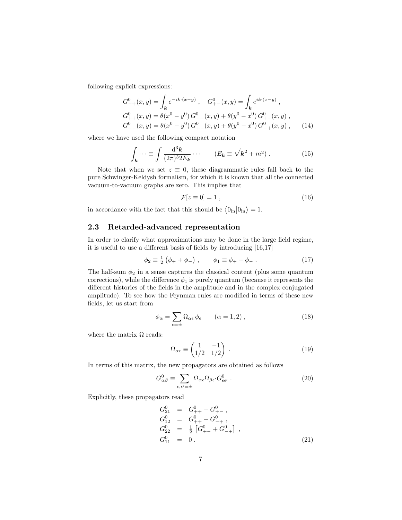following explicit expressions:

$$
G_{-+}^{0}(x,y) = \int_{\mathbf{k}} e^{-ik \cdot (x-y)} , \quad G_{+-}^{0}(x,y) = \int_{\mathbf{k}} e^{ik \cdot (x-y)} ,
$$
  
\n
$$
G_{++}^{0}(x,y) = \theta(x^{0} - y^{0}) G_{-+}^{0}(x,y) + \theta(y^{0} - x^{0}) G_{+-}^{0}(x,y) ,
$$
  
\n
$$
G_{--}^{0}(x,y) = \theta(x^{0} - y^{0}) G_{+-}^{0}(x,y) + \theta(y^{0} - x^{0}) G_{-+}^{0}(x,y) ,
$$
 (14)

where we have used the following compact notation

$$
\int_{\mathbf{k}} \cdots \equiv \int \frac{\mathrm{d}^3 \mathbf{k}}{(2\pi)^3 2E_{\mathbf{k}}} \cdots \qquad (E_{\mathbf{k}} \equiv \sqrt{\mathbf{k}^2 + m^2}) \ . \tag{15}
$$

Note that when we set  $z \equiv 0$ , these diagrammatic rules fall back to the pure Schwinger-Keldysh formalism, for which it is known that all the connected vacuum-to-vacuum graphs are zero. This implies that

$$
\mathcal{F}[z \equiv 0] = 1 \tag{16}
$$

in accordance with the fact that this should be  $\langle 0_{\text{in}} | 0_{\text{in}} \rangle = 1$ .

## 2.3 Retarded-advanced representation

In order to clarify what approximations may be done in the large field regime, it is useful to use a different basis of fields by introducing [16,17]

$$
\phi_2 \equiv \frac{1}{2} (\phi_+ + \phi_-), \qquad \phi_1 \equiv \phi_+ - \phi_- \,. \tag{17}
$$

The half-sum  $\phi_2$  in a sense captures the classical content (plus some quantum corrections), while the difference  $\phi_1$  is purely quantum (because it represents the different histories of the fields in the amplitude and in the complex conjugated amplitude). To see how the Feynman rules are modified in terms of these new fields, let us start from

$$
\phi_{\alpha} = \sum_{\epsilon = \pm} \Omega_{\alpha \epsilon} \phi_{\epsilon} \qquad (\alpha = 1, 2) , \qquad (18)
$$

where the matrix  $\Omega$  reads:

$$
\Omega_{\alpha\epsilon} \equiv \begin{pmatrix} 1 & -1 \\ 1/2 & 1/2 \end{pmatrix} . \tag{19}
$$

In terms of this matrix, the new propagators are obtained as follows

$$
G_{\alpha\beta}^{0} \equiv \sum_{\epsilon,\epsilon'= \pm} \Omega_{\alpha\epsilon} \Omega_{\beta\epsilon'} G_{\epsilon\epsilon'}^{0} . \qquad (20)
$$

Explicitly, these propagators read

$$
G_{21}^{0} = G_{++}^{0} - G_{+-}^{0},
$$
  
\n
$$
G_{12}^{0} = G_{++}^{0} - G_{-+}^{0},
$$
  
\n
$$
G_{22}^{0} = \frac{1}{2} [G_{+-}^{0} + G_{-+}^{0}],
$$
  
\n
$$
G_{11}^{0} = 0.
$$
\n(21)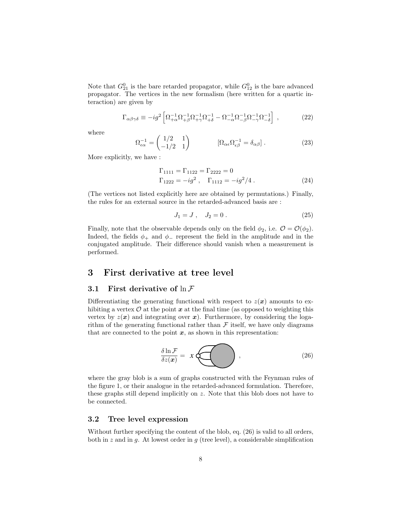Note that  $G_{21}^0$  is the bare retarded propagator, while  $G_{12}^0$  is the bare advanced propagator. The vertices in the new formalism (here written for a quartic interaction) are given by

$$
\Gamma_{\alpha\beta\gamma\delta} \equiv -ig^2 \left[ \Omega_{+\alpha}^{-1} \Omega_{+\beta}^{-1} \Omega_{+\gamma}^{-1} \Omega_{+\delta}^{-1} - \Omega_{-\alpha}^{-1} \Omega_{-\beta}^{-1} \Omega_{-\gamma}^{-1} \Omega_{-\delta}^{-1} \right] , \qquad (22)
$$

where

$$
\Omega_{\epsilon\alpha}^{-1} = \begin{pmatrix} 1/2 & 1 \\ -1/2 & 1 \end{pmatrix} \qquad [\Omega_{\alpha\epsilon}\Omega_{\epsilon\beta}^{-1} = \delta_{\alpha\beta}]. \qquad (23)
$$

More explicitly, we have :

$$
\Gamma_{1111} = \Gamma_{1122} = \Gamma_{2222} = 0
$$
  
\n
$$
\Gamma_{1222} = -ig^2, \quad \Gamma_{1112} = -ig^2/4.
$$
\n(24)

(The vertices not listed explicitly here are obtained by permutations.) Finally, the rules for an external source in the retarded-advanced basis are :

$$
J_1 = J \,, \quad J_2 = 0 \,. \tag{25}
$$

Finally, note that the observable depends only on the field  $\phi_2$ , i.e.  $\mathcal{O} = \mathcal{O}(\phi_2)$ . Indeed, the fields  $\phi_+$  and  $\phi_-$  represent the field in the amplitude and in the conjugated amplitude. Their difference should vanish when a measurement is performed.

## 3 First derivative at tree level

## 3.1 First derivative of  $\ln \mathcal{F}$

Differentiating the generating functional with respect to  $z(x)$  amounts to exhibiting a vertex  $\mathcal O$  at the point  $x$  at the final time (as opposed to weighting this vertex by  $z(x)$  and integrating over x). Furthermore, by considering the logarithm of the generating functional rather than  $\mathcal F$  itself, we have only diagrams that are connected to the point  $x$ , as shown in this representation:

$$
\frac{\delta \ln \mathcal{F}}{\delta z(\boldsymbol{x})} = \boldsymbol{x} \boldsymbol{\mathcal{F}} \tag{26}
$$

where the gray blob is a sum of graphs constructed with the Feynman rules of the figure 1, or their analogue in the retarded-advanced formulation. Therefore, these graphs still depend implicitly on z. Note that this blob does not have to be connected.

## 3.2 Tree level expression

Without further specifying the content of the blob, eq.  $(26)$  is valid to all orders, both in z and in g. At lowest order in  $g$  (tree level), a considerable simplification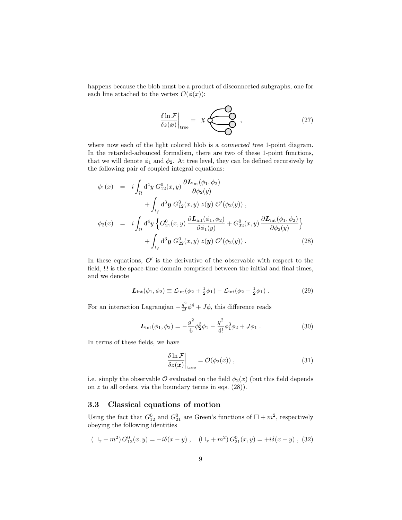happens because the blob must be a product of disconnected subgraphs, one for each line attached to the vertex  $\mathcal{O}(\phi(x))$ :

$$
\left. \frac{\delta \ln \mathcal{F}}{\delta z(\boldsymbol{x})} \right|_{\text{tree}} = \mathcal{X} \left( \begin{array}{c} 0 \\ 0 \\ 0 \end{array} \right), \tag{27}
$$

where now each of the light colored blob is a *connected tree* 1-point diagram. In the retarded-advanced formalism, there are two of these 1-point functions, that we will denote  $\phi_1$  and  $\phi_2$ . At tree level, they can be defined recursively by the following pair of coupled integral equations:

$$
\phi_1(x) = i \int_{\Omega} d^4 y G_{12}^0(x, y) \frac{\partial \mathbf{L}_{int}(\phi_1, \phi_2)}{\partial \phi_2(y)} \n+ \int_{t_f} d^3 y G_{12}^0(x, y) z(y) \mathcal{O}'(\phi_2(y)),
$$
\n
$$
\phi_2(x) = i \int_{\Omega} d^4 y \left\{ G_{21}^0(x, y) \frac{\partial \mathbf{L}_{int}(\phi_1, \phi_2)}{\partial \phi_1(y)} + G_{22}^0(x, y) \frac{\partial \mathbf{L}_{int}(\phi_1, \phi_2)}{\partial \phi_2(y)} \right\} \n+ \int_{t_f} d^3 y G_{22}^0(x, y) z(y) \mathcal{O}'(\phi_2(y)).
$$
\n(28)

In these equations,  $\mathcal{O}'$  is the derivative of the observable with respect to the field,  $\Omega$  is the space-time domain comprised between the initial and final times, and we denote

$$
L_{\rm int}(\phi_1, \phi_2) \equiv \mathcal{L}_{\rm int}(\phi_2 + \frac{1}{2}\phi_1) - \mathcal{L}_{\rm int}(\phi_2 - \frac{1}{2}\phi_1) \,. \tag{29}
$$

For an interaction Lagrangian  $-\frac{g^2}{4!}\phi^4 + J\phi$ , this difference reads

$$
\mathcal{L}_{int}(\phi_1, \phi_2) = -\frac{g^2}{6}\phi_2^3\phi_1 - \frac{g^2}{4!}\phi_1^3\phi_2 + J\phi_1.
$$
 (30)

In terms of these fields, we have

$$
\left. \frac{\delta \ln \mathcal{F}}{\delta z(\boldsymbol{x})} \right|_{\text{tree}} = \mathcal{O}(\phi_2(x)) \;, \tag{31}
$$

i.e. simply the observable  $\mathcal O$  evaluated on the field  $\phi_2(x)$  (but this field depends on  $z$  to all orders, via the boundary terms in eqs.  $(28)$ ).

## 3.3 Classical equations of motion

Using the fact that  $G_{12}^0$  and  $G_{21}^0$  are Green's functions of  $\Box + m^2$ , respectively obeying the following identities

$$
(\Box_x + m^2) G_{12}^0(x, y) = -i\delta(x - y) , \quad (\Box_x + m^2) G_{21}^0(x, y) = +i\delta(x - y) , \tag{32}
$$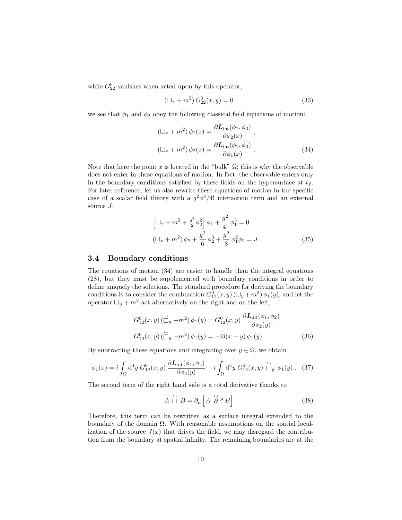while  $G_{22}^0$  vanishes when acted upon by this operator,

$$
(\Box_x + m^2) G_{22}^0(x, y) = 0 , \qquad (33)
$$

we see that  $\phi_1$  and  $\phi_2$  obey the following classical field equations of motion:

$$
(\Box_x + m^2) \phi_1(x) = \frac{\partial L_{\text{int}}(\phi_1, \phi_2)}{\partial \phi_2(x)},
$$
  

$$
(\Box_x + m^2) \phi_2(x) = \frac{\partial L_{\text{int}}(\phi_1, \phi_2)}{\partial \phi_1(x)}.
$$
 (34)

Note that here the point x is located in the "bulk"  $\Omega$ ; this is why the observable does not enter in these equations of motion. In fact, the observable enters only in the boundary conditions satisfied by these fields on the hypersurface at  $t_f$ . For later reference, let us also rewrite these equations of motion in the specific case of a scalar field theory with a  $g^2\phi^4/4!$  interaction term and an external source  $J$ :

$$
\left[\Box_x + m^2 + \frac{g^2}{2}\phi_2^2\right]\phi_1 + \frac{g^2}{4!}\phi_1^3 = 0,
$$
  

$$
\left(\Box_x + m^2\right)\phi_2 + \frac{g^2}{6}\phi_2^3 + \frac{g^2}{8}\phi_1^2\phi_2 = J.
$$
 (35)

#### 3.4 Boundary conditions

The equations of motion (34) are easier to handle than the integral equations (28), but they must be supplemented with boundary conditions in order to define uniquely the solutions. The standard procedure for deriving the boundary conditions is to consider the combination  $G_{12}^0(x, y)$  ( $\Box_y + m^2$ )  $\phi_1(y)$ , and let the operator  $\Box_y + m^2$  act alternatively on the right and on the left,

$$
G_{12}^{0}(x,y) \, (\overrightarrow{\Box}_{y} + m^{2}) \, \phi_{1}(y) = G_{12}^{0}(x,y) \, \frac{\partial \mathcal{L}_{int}(\phi_{1}, \phi_{2})}{\partial \phi_{2}(y)}
$$

$$
G_{12}^{0}(x,y) \, (\overrightarrow{\Box}_{y} + m^{2}) \, \phi_{1}(y) = -i \delta(x-y) \, \phi_{1}(y) \, . \tag{36}
$$

By subtracting these equations and integrating over  $y \in \Omega$ , we obtain

$$
\phi_1(x) = i \int_{\Omega} d^4 y \ G_{12}^0(x, y) \ \frac{\partial \mathcal{L}_{int}(\phi_1, \phi_2)}{\partial \phi_2(y)} - i \int_{\Omega} d^4 y \ G_{12}^0(x, y) \ \stackrel{\leftrightarrow}{\Box} \psi \ \phi_1(y) \ . \tag{37}
$$

The second term of the right hand side is a total derivative thanks to

$$
A \stackrel{\leftrightarrow}{\Box} B = \partial_{\mu} \left[ A \stackrel{\leftrightarrow}{\partial}{}^{\mu} B \right]. \tag{38}
$$

Therefore, this term can be rewritten as a surface integral extended to the boundary of the domain  $\Omega$ . With reasonable assumptions on the spatial localization of the source  $J(x)$  that drives the field, we may disregard the contribution from the boundary at spatial infinity. The remaining boundaries are at the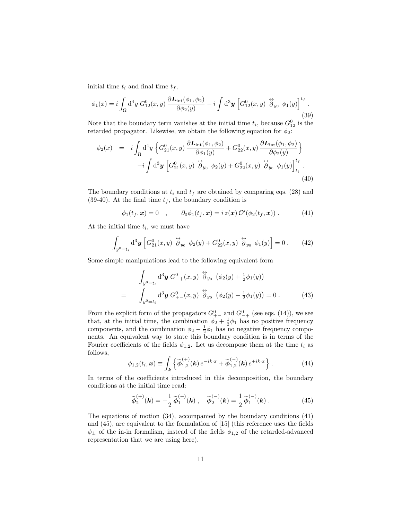initial time  $t_i$  and final time  $t_f$ ,

$$
\phi_1(x) = i \int_{\Omega} d^4 y \ G_{12}^0(x, y) \ \frac{\partial \mathcal{L}_{int}(\phi_1, \phi_2)}{\partial \phi_2(y)} - i \int d^3 y \left[ G_{12}^0(x, y) \ \stackrel{\leftrightarrow}{\partial}_{y_0} \phi_1(y) \right]^{t_f} . \tag{39}
$$

Note that the boundary term vanishes at the initial time  $t_i$ , because  $G_{12}^0$  is the retarded propagator. Likewise, we obtain the following equation for  $\phi_2$ :

$$
\phi_2(x) = i \int_{\Omega} d^4 y \left\{ G_{21}^0(x, y) \frac{\partial \mathbf{L}_{int}(\phi_1, \phi_2)}{\partial \phi_1(y)} + G_{22}^0(x, y) \frac{\partial \mathbf{L}_{int}(\phi_1, \phi_2)}{\partial \phi_2(y)} \right\} - i \int d^3 y \left[ G_{21}^0(x, y) \stackrel{\leftrightarrow}{\partial}_{y_0} \phi_2(y) + G_{22}^0(x, y) \stackrel{\leftrightarrow}{\partial}_{y_0} \phi_1(y) \right]_{t_i}^{t_f}.
$$
\n(40)

The boundary conditions at  $t_i$  and  $t_f$  are obtained by comparing eqs. (28) and (39-40). At the final time  $t_f$ , the boundary condition is

$$
\phi_1(t_f, \mathbf{x}) = 0 \quad , \qquad \partial_0 \phi_1(t_f, \mathbf{x}) = i z(\mathbf{x}) \mathcal{O}'(\phi_2(t_f, \mathbf{x})). \tag{41}
$$

At the initial time  $t_i$ , we must have

$$
\int_{y^0=t_i} \mathrm{d}^3 \mathbf{y} \left[ G_{21}^0(x,y) \stackrel{\leftrightarrow}{\partial}_{y_0} \phi_2(y) + G_{22}^0(x,y) \stackrel{\leftrightarrow}{\partial}_{y_0} \phi_1(y) \right] = 0 \,. \tag{42}
$$

Some simple manipulations lead to the following equivalent form

$$
\int_{y^0 = t_i} d^3 y \ G_{-+}^0(x, y) \stackrel{\leftrightarrow}{\partial}_{y_0} (\phi_2(y) + \frac{1}{2} \phi_1(y))
$$
  
= 
$$
\int_{y^0 = t_i} d^3 y \ G_{+-}^0(x, y) \stackrel{\leftrightarrow}{\partial}_{y_0} (\phi_2(y) - \frac{1}{2} \phi_1(y)) = 0.
$$
 (43)

From the explicit form of the propagators  $G_{++}^0$  and  $G_{-+}^0$  (see eqs. (14)), we see that, at the initial time, the combination  $\phi_2 + \frac{1}{2}\phi_1$  has no positive frequency components, and the combination  $\phi_2 - \frac{1}{2}\phi_1$  has no negative frequency components. An equivalent way to state this boundary condition is in terms of the Fourier coefficients of the fields  $\phi_{1,2}$ . Let us decompose them at the time  $t_i$  as follows,

$$
\phi_{1,2}(t_i, \mathbf{x}) \equiv \int_{\mathbf{k}} \left\{ \widetilde{\phi}_{1,2}^{(+)}(\mathbf{k}) e^{-ik \cdot x} + \widetilde{\phi}_{1,2}^{(-)}(\mathbf{k}) e^{+ik \cdot x} \right\}.
$$
 (44)

In terms of the coefficients introduced in this decomposition, the boundary conditions at the initial time read:

$$
\widetilde{\phi}_2^{(+)}(\mathbf{k}) = -\frac{1}{2} \widetilde{\phi}_1^{(+)}(\mathbf{k}) , \quad \widetilde{\phi}_2^{(-)}(\mathbf{k}) = \frac{1}{2} \widetilde{\phi}_1^{(-)}(\mathbf{k}) . \tag{45}
$$

The equations of motion (34), accompanied by the boundary conditions (41) and (45), are equivalent to the formulation of [15] (this reference uses the fields  $\phi_{\pm}$  of the in-in formalism, instead of the fields  $\phi_{1,2}$  of the retarded-advanced representation that we are using here).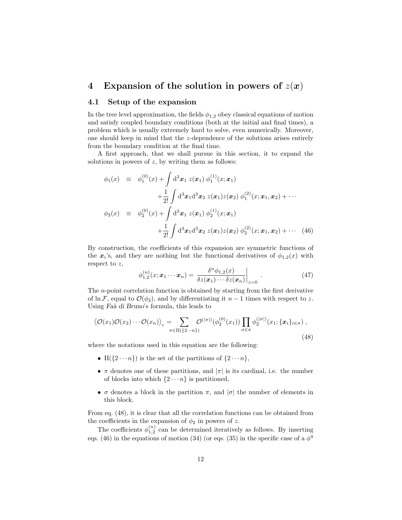# 4 Expansion of the solution in powers of  $z(x)$

### 4.1 Setup of the expansion

In the tree level approximation, the fields  $\phi_{1,2}$  obey classical equations of motion and satisfy coupled boundary conditions (both at the initial and final times), a problem which is usually extremely hard to solve, even numerically. Moreover, one should keep in mind that the z-dependence of the solutions arises entirely from the boundary condition at the final time.

A first approach, that we shall pursue in this section, it to expand the solutions in powers of  $z$ , by writing them as follows:

$$
\phi_1(x) \equiv \phi_1^{(0)}(x) + \int d^3x_1 z(x_1) \phi_1^{(1)}(x; x_1)
$$
  
+ 
$$
\frac{1}{2!} \int d^3x_1 d^3x_2 z(x_1) z(x_2) \phi_1^{(2)}(x; x_1, x_2) + \cdots
$$
  

$$
\phi_2(x) \equiv \phi_2^{(0)}(x) + \int d^3x_1 z(x_1) \phi_2^{(1)}(x; x_1)
$$
  
+ 
$$
\frac{1}{2!} \int d^3x_1 d^3x_2 z(x_1) z(x_2) \phi_2^{(2)}(x; x_1, x_2) + \cdots
$$
(46)

By construction, the coefficients of this expansion are symmetric functions of the  $x_i$ 's, and they are nothing but the functional derivatives of  $\phi_{1,2}(x)$  with respect to  $z$ ,

$$
\phi_{1,2}^{(n)}(x; \boldsymbol{x}_1 \cdots \boldsymbol{x}_n) = \left. \frac{\delta^n \phi_{1,2}(x)}{\delta z(\boldsymbol{x}_1) \cdots \delta z(\boldsymbol{x}_n)} \right|_{z=0} \tag{47}
$$

The n-point correlation function is obtained by starting from the first derivative of ln F, equal to  $\mathcal{O}(\phi_2)$ , and by differentiating it  $n-1$  times with respect to z. Using Faà di Bruno's formula, this leads to

$$
\langle \mathcal{O}(x_1)\mathcal{O}(x_2)\cdots \mathcal{O}(x_n)\rangle_c = \sum_{\pi \in \Pi(\{2\cdots n\})} \mathcal{O}^{(|\pi|)}(\phi_2^{(0)}(x_1)) \prod_{\sigma \in \pi} \phi_2^{(|\sigma|)}(x_1; \{\boldsymbol{x}_i\}_{i \in \sigma}),
$$
\n(48)

where the notations used in this equation are the following:

- $\Pi({2 \cdots n})$  is the set of the partitions of  ${2 \cdots n}$ ,
- $\pi$  denotes one of these partitions, and  $|\pi|$  is its cardinal, i.e. the number of blocks into which  $\{2 \cdots n\}$  is partitioned,
- $\sigma$  denotes a block in the partition  $\pi$ , and  $|\sigma|$  the number of elements in this block.

From eq. (48), it is clear that all the correlation functions can be obtained from the coefficients in the expansion of  $\phi_2$  in powers of z.

The coefficients  $\phi_{1,2}^{(n)}$  can be determined iteratively as follows. By inserting eqs. (46) in the equations of motion (34) (or eqs. (35) in the specific case of a  $\phi^4$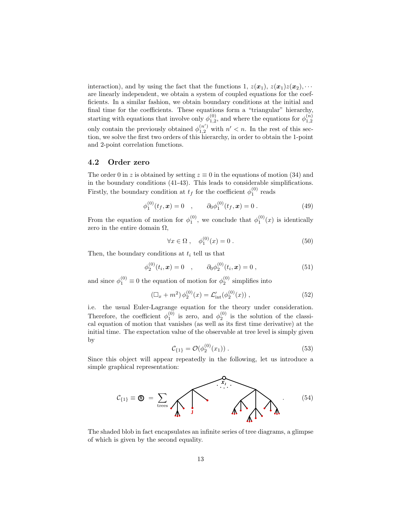interaction), and by using the fact that the functions 1,  $z(\mathbf{x}_1)$ ,  $z(\mathbf{x}_1)z(\mathbf{x}_2)$ ,  $\cdots$ are linearly independent, we obtain a system of coupled equations for the coefficients. In a similar fashion, we obtain boundary conditions at the initial and final time for the coefficients. These equations form a "triangular" hierarchy, starting with equations that involve only  $\phi_{1,2}^{(0)}$ , and where the equations for  $\phi_{1,2}^{(n)}$ only contain the previously obtained  $\phi_{1,2}^{(n')}$  with  $n' < n$ . In the rest of this section, we solve the first two orders of this hierarchy, in order to obtain the 1-point and 2-point correlation functions.

## 4.2 Order zero

The order 0 in z is obtained by setting  $z \equiv 0$  in the equations of motion (34) and in the boundary conditions (41-43). This leads to considerable simplifications. Firstly, the boundary condition at  $t_f$  for the coefficient  $\phi_1^{(0)}$  reads

$$
\phi_1^{(0)}(t_f, \mathbf{x}) = 0 \quad , \qquad \partial_0 \phi_1^{(0)}(t_f, \mathbf{x}) = 0 \; . \tag{49}
$$

From the equation of motion for  $\phi_1^{(0)}$ , we conclude that  $\phi_1^{(0)}(x)$  is identically zero in the entire domain  $\Omega$ ,

$$
\forall x \in \Omega \;, \quad \phi_1^{(0)}(x) = 0 \; . \tag{50}
$$

Then, the boundary conditions at  $t_i$  tell us that

$$
\phi_2^{(0)}(t_i, \mathbf{x}) = 0 \quad , \qquad \partial_0 \phi_2^{(0)}(t_i, \mathbf{x}) = 0 \tag{51}
$$

and since  $\phi_1^{(0)} \equiv 0$  the equation of motion for  $\phi_2^{(0)}$  simplifies into

$$
\left(\Box_x + m^2\right)\phi_2^{(0)}(x) = \mathcal{L}'_{\text{int}}(\phi_2^{(0)}(x))\,,\tag{52}
$$

i.e. the usual Euler-Lagrange equation for the theory under consideration. Therefore, the coefficient  $\phi_1^{(0)}$  is zero, and  $\phi_2^{(0)}$  is the solution of the classical equation of motion that vanishes (as well as its first time derivative) at the initial time. The expectation value of the observable at tree level is simply given by  $(0)$ 

$$
\mathcal{C}_{\{1\}} = \mathcal{O}(\phi_2^{(0)}(x_1))\,. \tag{53}
$$

Since this object will appear repeatedly in the following, let us introduce a simple graphical representation:



The shaded blob in fact encapsulates an infinite series of tree diagrams, a glimpse of which is given by the second equality.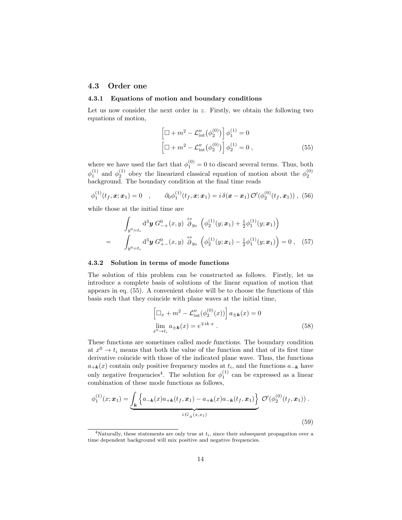## 4.3 Order one

#### 4.3.1 Equations of motion and boundary conditions

Let us now consider the next order in  $z$ . Firstly, we obtain the following two equations of motion,

$$
\left[\Box + m^2 - \mathcal{L}_{int}''(\phi_2^{(0)})\right] \phi_1^{(1)} = 0
$$
  

$$
\left[\Box + m^2 - \mathcal{L}_{int}''(\phi_2^{(0)})\right] \phi_2^{(1)} = 0,
$$
 (55)

where we have used the fact that  $\phi_1^{(0)} = 0$  to discard several terms. Thus, both  $\phi_1^{(1)}$  and  $\phi_2^{(1)}$  obey the linearized classical equation of motion about the  $\phi_2^{(0)}$  background. The boundary condition at the final time reads

$$
\phi_1^{(1)}(t_f, \mathbf{x}; \mathbf{x}_1) = 0 \quad , \qquad \partial_0 \phi_1^{(1)}(t_f, \mathbf{x}; \mathbf{x}_1) = i \, \delta(\mathbf{x} - \mathbf{x}_1) \, \mathcal{O}'(\phi_2^{(0)}(t_f, \mathbf{x}_1)) \; , \; (56)
$$

while those at the initial time are

$$
\int_{y^0=t_i} d^3 y \ G_{-+}^0(x,y) \stackrel{\leftrightarrow}{\partial}_{y_0} \left( \phi_2^{(1)}(y;x_1) + \frac{1}{2} \phi_1^{(1)}(y;x_1) \right)
$$
\n
$$
= \int_{y^0=t_i} d^3 y \ G_{+-}^0(x,y) \stackrel{\leftrightarrow}{\partial}_{y_0} \left( \phi_2^{(1)}(y;x_1) - \frac{1}{2} \phi_1^{(1)}(y;x_1) \right) = 0 \ , \quad (57)
$$

#### 4.3.2 Solution in terms of mode functions

The solution of this problem can be constructed as follows. Firstly, let us introduce a complete basis of solutions of the linear equation of motion that appears in eq. (55). A convenient choice will be to choose the functions of this basis such that they coincide with plane waves at the initial time,

$$
\left[\Box_x + m^2 - \mathcal{L}'_{\text{int}}(\phi_2^{(0)}(x))\right] a_{\pm \mathbf{k}}(x) = 0
$$
  

$$
\lim_{x^0 \to t_i} a_{\pm \mathbf{k}}(x) = e^{\mp ik \cdot x}.
$$
 (58)

These functions are sometimes called mode functions. The boundary condition at  $x^0 \rightarrow t_i$  means that both the value of the function and that of its first time derivative coincide with those of the indicated plane wave. Thus, the functions  $a_{+k}(x)$  contain only positive frequency modes at  $t_i$ , and the functions  $a_{-k}$  have only negative frequencies<sup>4</sup>. The solution for  $\phi_1^{(1)}$  can be expressed as a linear combination of these mode functions as follows,

$$
\phi_1^{(1)}(x; \mathbf{x}_1) = \underbrace{\int_{\mathbf{k}} \left\{ a_{-\mathbf{k}}(x) a_{+\mathbf{k}}(t_f, \mathbf{x}_1) - a_{+\mathbf{k}}(x) a_{-\mathbf{k}}(t_f, \mathbf{x}_1) \right\}}_{i \ G_A(x, x_1)} \mathcal{O}'(\phi_2^{(0)}(t_f, \mathbf{x}_1)) .
$$
\n(59)

<sup>&</sup>lt;sup>4</sup>Naturally, these statements are only true at  $t_i$ , since their subsequent propagation over a time dependent background will mix positive and negative frequencies.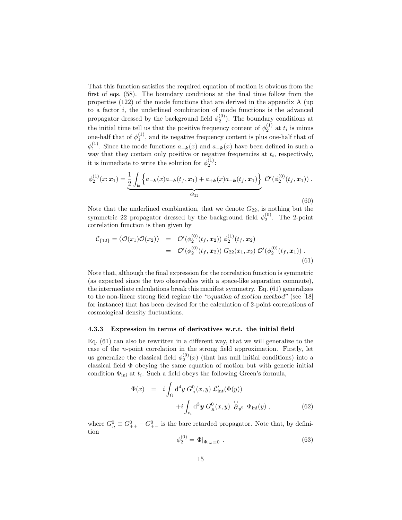That this function satisfies the required equation of motion is obvious from the first of eqs. (58). The boundary conditions at the final time follow from the properties (122) of the mode functions that are derived in the appendix A (up to a factor  $i$ , the underlined combination of mode functions is the advanced propagator dressed by the background field  $\phi_2^{(0)}$ ). The boundary conditions at the initial time tell us that the positive frequency content of  $\phi_2^{(1)}$  at  $t_i$  is minus one-half that of  $\phi_1^{(1)}$ , and its negative frequency content is plus one-half that of  $\phi_1^{(1)}$ . Since the mode functions  $a_{+\mathbf{k}}(x)$  and  $a_{-\mathbf{k}}(x)$  have been defined in such a way that they contain only positive or negative frequencies at  $t_i$ , respectively, it is immediate to write the solution for  $\phi_2^{(1)}$ :

$$
\phi_2^{(1)}(x; \mathbf{x}_1) = \underbrace{\frac{1}{2} \int_{\mathbf{k}} \left\{ a_{-\mathbf{k}}(x) a_{+\mathbf{k}}(t_f, \mathbf{x}_1) + a_{+\mathbf{k}}(x) a_{-\mathbf{k}}(t_f, \mathbf{x}_1) \right\}}_{G_{22}} \mathcal{O}'(\phi_2^{(0)}(t_f, \mathbf{x}_1)) .
$$
\n(60)

Note that the underlined combination, that we denote  $G_{22}$ , is nothing but the symmetric 22 propagator dressed by the background field  $\phi_2^{(0)}$ . The 2-point correlation function is then given by

$$
\mathcal{C}_{\{12\}} = \langle \mathcal{O}(x_1) \mathcal{O}(x_2) \rangle = \mathcal{O}'(\phi_2^{(0)}(t_f, \boldsymbol{x}_2)) \phi_2^{(1)}(t_f, \boldsymbol{x}_2) \n= \mathcal{O}'(\phi_2^{(0)}(t_f, \boldsymbol{x}_2)) G_{22}(x_1, x_2) \mathcal{O}'(\phi_2^{(0)}(t_f, \boldsymbol{x}_1)) .
$$
\n(61)

Note that, although the final expression for the correlation function is symmetric (as expected since the two observables with a space-like separation commute), the intermediate calculations break this manifest symmetry. Eq. (61) generalizes to the non-linear strong field regime the "equation of motion method" (see [18] for instance) that has been devised for the calculation of 2-point correlations of cosmological density fluctuations.

#### 4.3.3 Expression in terms of derivatives w.r.t. the initial field

Eq. (61) can also be rewritten in a different way, that we will generalize to the case of the n-point correlation in the strong field approximation. Firstly, let us generalize the classical field  $\phi_2^{(0)}(x)$  (that has null initial conditions) into a classical field Φ obeying the same equation of motion but with generic initial condition  $\Phi_{\text{ini}}$  at  $t_i$ . Such a field obeys the following Green's formula,

$$
\Phi(x) = i \int_{\Omega} d^4 y G_R^0(x, y) \mathcal{L}'_{int}(\Phi(y))
$$

$$
+ i \int_{t_i} d^3 y G_R^0(x, y) \stackrel{\leftrightarrow}{\partial} y^0 \Phi_{ini}(y) , \qquad (62)
$$

where  $G_R^0 \equiv G_{++}^0 - G_{+-}^0$  is the bare retarded propagator. Note that, by definition

$$
\phi_2^{(0)} = \Phi|_{\Phi_{\text{ini}} \equiv 0} \tag{63}
$$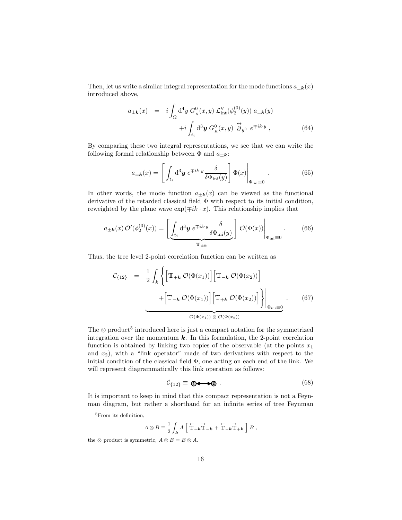Then, let us write a similar integral representation for the mode functions  $a_{\pm \mathbf{k}}(x)$ introduced above,

$$
a_{\pm \mathbf{k}}(x) = i \int_{\Omega} d^4 y G_R^0(x, y) \mathcal{L}_{\text{int}}''(\phi_2^{(0)}(y)) a_{\pm \mathbf{k}}(y)
$$

$$
+ i \int_{t_i} d^3 y G_R^0(x, y) \stackrel{\leftrightarrow}{\partial}_{y^0} e^{\mp ik \cdot y}, \qquad (64)
$$

By comparing these two integral representations, we see that we can write the following formal relationship between  $\Phi$  and  $a_{\pm k}$ :

$$
a_{\pm \mathbf{k}}(x) = \left[ \left. \int_{t_i} \mathrm{d}^3 \mathbf{y} \, e^{\mp i k \cdot y} \frac{\delta}{\delta \Phi_{\text{ini}}(y)} \right] \Phi(x) \right|_{\Phi_{\text{ini}} \equiv 0} . \tag{65}
$$

In other words, the mode function  $a_{\pm k}(x)$  can be viewed as the functional derivative of the retarded classical field  $\Phi$  with respect to its initial condition, reweighted by the plane wave  $\exp(\mp ik \cdot x)$ . This relationship implies that

$$
a_{\pm \mathbf{k}}(x) \mathcal{O}'(\phi_2^{(0)}(x)) = \left[ \underbrace{\int_{t_i} \mathrm{d}^3 \mathbf{y} \, e^{\mp i k \cdot y} \frac{\delta}{\delta \Phi_{\text{ini}}(y)}}_{\mathbb{T}_{\pm \mathbf{k}}} \right] \mathcal{O}(\Phi(x)) \Big|_{\Phi_{\text{ini}} \equiv 0} . \tag{66}
$$

Thus, the tree level 2-point correlation function can be written as

$$
\mathcal{C}_{\{12\}} = \frac{1}{2} \int_{\mathbf{k}} \left\{ \left[ \mathbb{T}_{+\mathbf{k}} \mathcal{O}(\Phi(x_1)) \right] \left[ \mathbb{T}_{-\mathbf{k}} \mathcal{O}(\Phi(x_2)) \right] + \left[ \mathbb{T}_{-\mathbf{k}} \mathcal{O}(\Phi(x_1)) \right] \left[ \mathbb{T}_{+\mathbf{k}} \mathcal{O}(\Phi(x_2)) \right] \right\} \Big|_{\Phi_{\text{ini}} \equiv 0} . \tag{67}
$$

The  $\otimes$  product<sup>5</sup> introduced here is just a compact notation for the symmetrized integration over the momentum  $k$ . In this formulation, the 2-point correlation function is obtained by linking two copies of the observable (at the points  $x_1$ and  $x_2$ ), with a "link operator" made of two derivatives with respect to the initial condition of the classical field  $\Phi$ , one acting on each end of the link. We will represent diagrammatically this link operation as follows:

$$
\mathcal{C}_{\{12\}} \equiv \mathbf{0} \longrightarrow \mathbf{0} \tag{68}
$$

It is important to keep in mind that this compact representation is not a Feynman diagram, but rather a shorthand for an infinite series of tree Feynman

$$
A \otimes B \equiv \frac{1}{2} \int_{\mathbf{k}} A \left[ \stackrel{\leftarrow}{\mathbb{T}}_{+k} \stackrel{\rightarrow}{\mathbb{T}}_{-k} + \stackrel{\leftarrow}{\mathbb{T}}_{-k} \stackrel{\rightarrow}{\mathbb{T}}_{+k} \right] B ,
$$

<sup>&</sup>lt;sup>5</sup>From its definition,

the  $\otimes$  product is symmetric,  $A \otimes B = B \otimes A$ .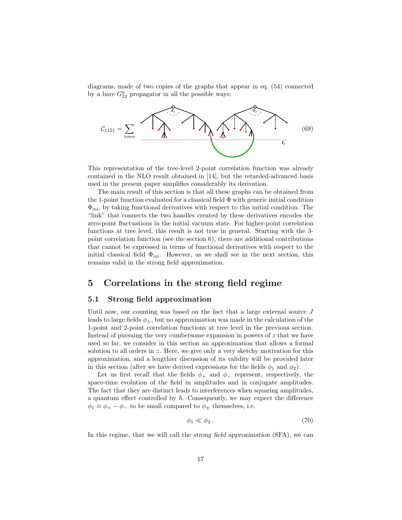diagrams, made of two copies of the graphs that appear in eq. (54) connected by a bare  $G_{22}^0$  propagator in all the possible ways:



This representation of the tree-level 2-point correlation function was already contained in the NLO result obtained in [14], but the retarded-advanced basis used in the present paper simplifies considerably its derivation.

The main result of this section is that all these graphs can be obtained from the 1-point function evaluated for a classical field  $\Phi$  with generic initial condition  $\Phi_{\text{ini}}$ , by taking functional derivatives with respect to this initial condition. The "link" that connects the two handles created by these derivatives encodes the zero-point fluctuations in the initial vacuum state. For higher-point correlation functions at tree level, this result is not true in general. Starting with the 3 point correlation function (see the section 6), there are additional contributions that cannot be expressed in terms of functional derivatives with respect to the initial classical field  $\Phi_{\text{ini}}$ . However, as we shall see in the next section, this remains valid in the strong field approximation.

# 5 Correlations in the strong field regime

## 5.1 Strong field approximation

Until now, our counting was based on the fact that a large external source  $J$ leads to large fields  $\phi_{\pm}$ , but no approximation was made in the calculation of the 1-point and 2-point correlation functions at tree level in the previous section. Instead of pursuing the very cumbersome expansion in powers of  $z$  that we have used so far, we consider in this section an approximation that allows a formal solution to all orders in z. Here, we give only a very sketchy motivation for this approximation, and a lengthier discussion of its validity will be provided later in this section (after we have derived expressions for the fields  $\phi_1$  and  $\phi_2$ ).

Let us first recall that the fields  $\phi_+$  and  $\phi_-$  represent, respectively, the space-time evolution of the field in amplitudes and in conjugate amplitudes. The fact that they are distinct leads to interferences when squaring amplitudes, a quantum effect controlled by  $\hbar$ . Consequently, we may expect the difference  $\phi_1 \equiv \phi_+ - \phi_-$  to be small compared to  $\phi_{\pm}$  themselves, i.e.

$$
\phi_1 \ll \phi_2 \tag{70}
$$

In this regime, that we will call the strong field approximation (SFA), we can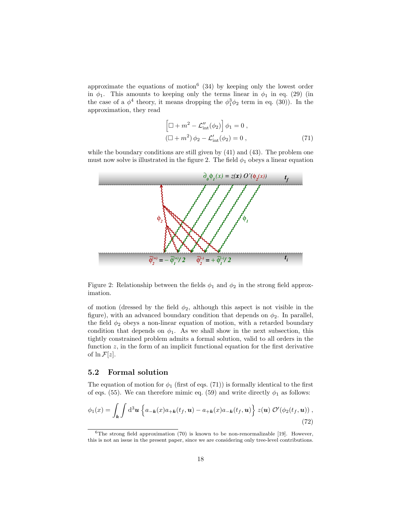approximate the equations of motion<sup>6</sup> (34) by keeping only the lowest order in  $\phi_1$ . This amounts to keeping only the terms linear in  $\phi_1$  in eq. (29) (in the case of a  $\phi^4$  theory, it means dropping the  $\phi_1^3\phi_2$  term in eq. (30)). In the approximation, they read

$$
\left[\Box + m^2 - \mathcal{L}_{\text{int}}''(\phi_2)\right]\phi_1 = 0,
$$
  

$$
\left(\Box + m^2\right)\phi_2 - \mathcal{L}_{\text{int}}'(\phi_2) = 0,
$$
 (71)

while the boundary conditions are still given by  $(41)$  and  $(43)$ . The problem one must now solve is illustrated in the figure 2. The field  $\phi_1$  obeys a linear equation



Figure 2: Relationship between the fields  $\phi_1$  and  $\phi_2$  in the strong field approximation.

of motion (dressed by the field  $\phi_2$ , although this aspect is not visible in the figure), with an advanced boundary condition that depends on  $\phi_2$ . In parallel, the field  $\phi_2$  obeys a non-linear equation of motion, with a retarded boundary condition that depends on  $\phi_1$ . As we shall show in the next subsection, this tightly constrained problem admits a formal solution, valid to all orders in the function  $z$ , in the form of an implicit functional equation for the first derivative of  $\ln \mathcal{F}[z]$ .

#### 5.2 Formal solution

The equation of motion for  $\phi_1$  (first of eqs. (71)) is formally identical to the first of eqs. (55). We can therefore mimic eq. (59) and write directly  $\phi_1$  as follows:

$$
\phi_1(x) = \int_{\mathbf{k}} \int d^3 \mathbf{u} \left\{ a_{-\mathbf{k}}(x) a_{+\mathbf{k}}(t_f, \mathbf{u}) - a_{+\mathbf{k}}(x) a_{-\mathbf{k}}(t_f, \mathbf{u}) \right\} z(\mathbf{u}) \mathcal{O}'(\phi_2(t_f, \mathbf{u})) ,
$$
\n(72)

 $6$ The strong field approximation (70) is known to be non-renormalizable [19]. However, this is not an issue in the present paper, since we are considering only tree-level contributions.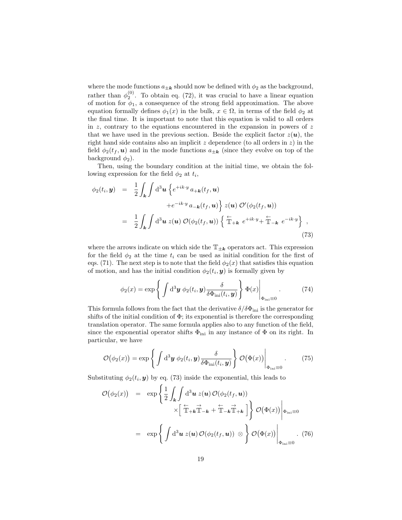where the mode functions  $a_{\pm k}$  should now be defined with  $\phi_2$  as the background, rather than  $\phi_2^{(0)}$ . To obtain eq. (72), it was crucial to have a linear equation of motion for  $\phi_1$ , a consequence of the strong field approximation. The above equation formally defines  $\phi_1(x)$  in the bulk,  $x \in \Omega$ , in terms of the field  $\phi_2$  at the final time. It is important to note that this equation is valid to all orders in  $z$ , contrary to the equations encountered in the expansion in powers of  $z$ that we have used in the previous section. Beside the explicit factor  $z(u)$ , the right hand side contains also an implicit  $z$  dependence (to all orders in  $z$ ) in the field  $\phi_2(t_f, \mathbf{u})$  and in the mode functions  $a_{\pm \mathbf{k}}$  (since they evolve on top of the background  $\phi_2$ ).

Then, using the boundary condition at the initial time, we obtain the following expression for the field  $\phi_2$  at  $t_i$ ,

$$
\phi_2(t_i, \mathbf{y}) = \frac{1}{2} \int_{\mathbf{k}} \int d^3 \mathbf{u} \left\{ e^{+ik \cdot y} a_{+\mathbf{k}}(t_f, \mathbf{u}) \right.\n\left. + e^{-ik \cdot y} a_{-\mathbf{k}}(t_f, \mathbf{u}) \right\} z(\mathbf{u}) \, \mathcal{O}'(\phi_2(t_f, \mathbf{u}))
$$
\n
$$
= \frac{1}{2} \int_{\mathbf{k}} \int d^3 \mathbf{u} \, z(\mathbf{u}) \, \mathcal{O}(\phi_2(t_f, \mathbf{u})) \left\{ \overleftarrow{\mathbb{T}} + \mathbf{k} \, e^{+ik \cdot y} + \overleftarrow{\mathbb{T}} - \mathbf{k} \, e^{-ik \cdot y} \right\} \right.\n\tag{73}
$$

where the arrows indicate on which side the  $\mathbb{T}_{\pm k}$  operators act. This expression for the field  $\phi_2$  at the time  $t_i$  can be used as initial condition for the first of eqs. (71). The next step is to note that the field  $\phi_2(x)$  that satisfies this equation of motion, and has the initial condition  $\phi_2(t_i, y)$  is formally given by

$$
\phi_2(x) = \exp\left\{ \int d^3 \mathbf{y} \, \phi_2(t_i, \mathbf{y}) \frac{\delta}{\delta \Phi_{\text{ini}}(t_i, \mathbf{y})} \right\} \Phi(x) \Big|_{\Phi_{\text{ini}} \equiv 0} . \tag{74}
$$

This formula follows from the fact that the derivative  $\delta/\delta\Phi_{\text{ini}}$  is the generator for shifts of the initial condition of  $\Phi$ ; its exponential is therefore the corresponding translation operator. The same formula applies also to any function of the field, since the exponential operator shifts  $\Phi_{\text{ini}}$  in any instance of  $\Phi$  on its right. In particular, we have

$$
\mathcal{O}(\phi_2(x)) = \exp\left\{ \int d^3 \mathbf{y} \, \phi_2(t_i, \mathbf{y}) \frac{\delta}{\delta \Phi_{\text{ini}}(t_i, \mathbf{y})} \right\} \mathcal{O}(\Phi(x)) \Big|_{\Phi_{\text{ini}} \equiv 0}.
$$
 (75)

Substituting  $\phi_2(t_i, y)$  by eq. (73) inside the exponential, this leads to

$$
\mathcal{O}(\phi_2(x)) = \exp\left\{\frac{1}{2}\int_{\mathbf{k}}\int \mathrm{d}^3\mathbf{u} \ z(\mathbf{u})\,\mathcal{O}(\phi_2(t_f, \mathbf{u}))\right.\times\left[\overbrace{\mathbb{T}+\mathbf{k}}^{\leftarrow}\overline{\mathbb{T}}-\mathbf{k}+\overbrace{\mathbb{T}-\mathbf{k}}^{\leftarrow}\overline{\mathbb{T}}+\mathbf{k}\right]\right\}\,\mathcal{O}(\Phi(x))\Big|\mathbf{e}_{\text{ini}}=0
$$
\n
$$
= \exp\left\{\int \mathrm{d}^3\mathbf{u} \ z(\mathbf{u})\,\mathcal{O}(\phi_2(t_f, \mathbf{u}))\otimes\right\}\,\mathcal{O}(\Phi(x))\Big|\mathbf{e}_{\text{ini}}=0\qquad(76)
$$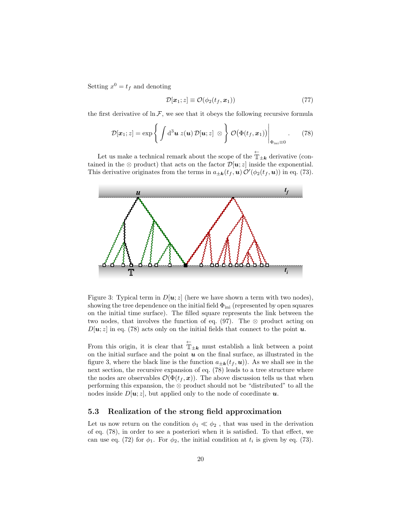Setting  $x^0 = t_f$  and denoting

$$
\mathcal{D}[\boldsymbol{x}_1; z] \equiv \mathcal{O}(\phi_2(t_f, \boldsymbol{x}_1)) \tag{77}
$$

the first derivative of  $\ln \mathcal{F}$ , we see that it obeys the following recursive formula

$$
\mathcal{D}[\boldsymbol{x}_1; z] = \exp\left\{ \int d^3 \boldsymbol{u} \ z(\boldsymbol{u}) \ \mathcal{D}[\boldsymbol{u}; z] \otimes \right\} \mathcal{O}(\Phi(t_f, \boldsymbol{x}_1)) \Big|_{\Phi_{\text{ini}} \equiv 0} . \qquad (78)
$$

Let us make a technical remark about the scope of the  $\mathbb{T}_{\pm k}$  derivative (contained in the ⊗ product) that acts on the factor  $\mathcal{D}[\boldsymbol{u};z]$  inside the exponential. This derivative originates from the terms in  $a_{\pm k}(t_f, \boldsymbol{u}) \mathcal{O}'(\phi_2(t_f, \boldsymbol{u}))$  in eq. (73).



Figure 3: Typical term in  $D[\boldsymbol{u}; z]$  (here we have shown a term with two nodes), showing the tree dependence on the initial field  $\Phi_{\text{ini}}$  (represented by open squares on the initial time surface). The filled square represents the link between the two nodes, that involves the function of eq.  $(97)$ . The ⊗ product acting on  $D[u; z]$  in eq. (78) acts only on the initial fields that connect to the point u.

From this origin, it is clear that  $\mathbb{T}_{\pm k}$  must establish a link between a point on the initial surface and the point  $u$  on the final surface, as illustrated in the figure 3, where the black line is the function  $a_{\pm k}(t_f, u)$ ). As we shall see in the next section, the recursive expansion of eq. (78) leads to a tree structure where the nodes are observables  $\mathcal{O}(\Phi(t_f, \boldsymbol{x}))$ . The above discussion tells us that when performing this expansion, the ⊗ product should not be "distributed" to all the nodes inside  $D[u; z]$ , but applied only to the node of coordinate u.

## 5.3 Realization of the strong field approximation

Let us now return on the condition  $\phi_1 \ll \phi_2$ , that was used in the derivation of eq. (78), in order to see a posteriori when it is satisfied. To that effect, we can use eq. (72) for  $\phi_1$ . For  $\phi_2$ , the initial condition at  $t_i$  is given by eq. (73).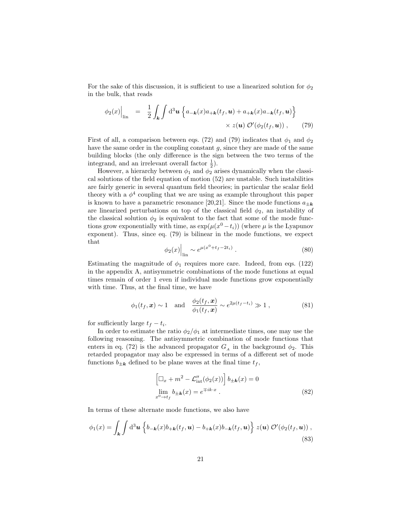For the sake of this discussion, it is sufficient to use a linearized solution for  $\phi_2$ in the bulk, that reads

$$
\phi_2(x)\Big|_{\text{lin}} = \frac{1}{2} \int_{\mathbf{k}} \int d^3 \mathbf{u} \left\{ a_{-\mathbf{k}}(x) a_{+\mathbf{k}}(t_f, \mathbf{u}) + a_{+\mathbf{k}}(x) a_{-\mathbf{k}}(t_f, \mathbf{u}) \right\} \times z(\mathbf{u}) \mathcal{O}'(\phi_2(t_f, \mathbf{u})) , \tag{79}
$$

First of all, a comparison between eqs. (72) and (79) indicates that  $\phi_1$  and  $\phi_2$ have the same order in the coupling constant  $g$ , since they are made of the same building blocks (the only difference is the sign between the two terms of the integrand, and an irrelevant overall factor  $\frac{1}{2}$ ).

However, a hierarchy between  $\phi_1$  and  $\phi_2$  arises dynamically when the classical solutions of the field equation of motion (52) are unstable. Such instabilities are fairly generic in several quantum field theories; in particular the scalar field theory with a  $\phi^4$  coupling that we are using as example throughout this paper is known to have a parametric resonance [20,21]. Since the mode functions  $a_{\pm k}$ are linearized perturbations on top of the classical field  $\phi_2$ , an instability of the classical solution  $\phi_2$  is equivalent to the fact that some of the mode functions grow exponentially with time, as  $\exp(\mu(x^0 - t_i))$  (where  $\mu$  is the Lyapunov exponent). Thus, since eq. (79) is bilinear in the mode functions, we expect that

$$
\phi_2(x)\Big|_{\text{lin}} \sim e^{\mu(x^0 + t_f - 2t_i)} \ . \tag{80}
$$

Estimating the magnitude of  $\phi_1$  requires more care. Indeed, from eqs. (122) in the appendix A, antisymmetric combinations of the mode functions at equal times remain of order 1 even if individual mode functions grow exponentially with time. Thus, at the final time, we have

$$
\phi_1(t_f, \mathbf{x}) \sim 1
$$
 and  $\frac{\phi_2(t_f, \mathbf{x})}{\phi_1(t_f, \mathbf{x})} \sim e^{2\mu(t_f - t_i)} \gg 1$ , (81)

for sufficiently large  $t_f - t_i$ .

In order to estimate the ratio  $\phi_2/\phi_1$  at intermediate times, one may use the following reasoning. The antisymmetric combination of mode functions that enters in eq. (72) is the advanced propagator  $G_A$  in the background  $\phi_2$ . This retarded propagator may also be expressed in terms of a different set of mode functions  $b_{\pm k}$  defined to be plane waves at the final time  $t_f$ ,

$$
\left[\Box_x + m^2 - \mathcal{L}_{\text{int}}''(\phi_2(x))\right] b_{\pm k}(x) = 0
$$
  

$$
\lim_{x^0 \to t_f} b_{\pm k}(x) = e^{\mp ik \cdot x}.
$$
 (82)

In terms of these alternate mode functions, we also have

$$
\phi_1(x) = \int_{\mathbf{k}} \int d^3 \mathbf{u} \left\{ b_{-\mathbf{k}}(x) b_{+\mathbf{k}}(t_f, \mathbf{u}) - b_{+\mathbf{k}}(x) b_{-\mathbf{k}}(t_f, \mathbf{u}) \right\} z(\mathbf{u}) \mathcal{O}'(\phi_2(t_f, \mathbf{u})) ,
$$
\n(83)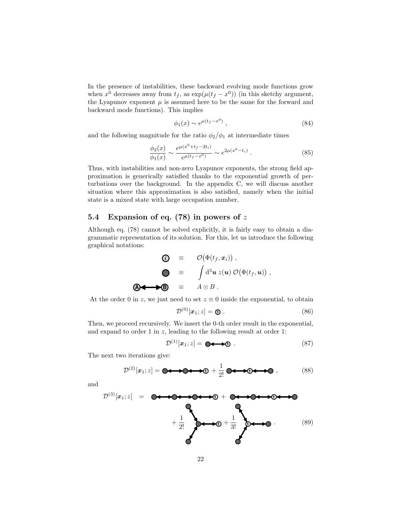In the presence of instabilities, these backward evolving mode functions grow when  $x^0$  decreases away from  $t_f$ , as  $\exp(\mu(t_f - x^0))$  (in this sketchy argument, the Lyapunov exponent  $\mu$  is assumed here to be the same for the forward and backward mode functions). This implies

$$
\phi_1(x) \sim e^{\mu(t_f - x^0)}\,,\tag{84}
$$

and the following magnitude for the ratio  $\phi_2/\phi_1$  at intermediate times

$$
\frac{\phi_2(x)}{\phi_1(x)} \sim \frac{e^{\mu(x^0 + t_f - 2t_i)}}{e^{\mu(t_f - x^0)}} \sim e^{2\mu(x^0 - t_i)}.
$$
\n(85)

Thus, with instabilities and non-zero Lyapunov exponents, the strong field approximation is generically satisfied thanks to the exponential growth of perturbations over the background. In the appendix C, we will discuss another situation where this approximation is also satisfied, namely when the initial state is a mixed state with large occupation number.

## 5.4 Expansion of eq. (78) in powers of z

Although eq. (78) cannot be solved explicitly, it is fairly easy to obtain a diagrammatic representation of its solution. For this, let us introduce the following graphical notations:

$$
\begin{array}{rcl}\n\textbf{(i)} & \equiv & \mathcal{O}(\Phi(t_f, \mathbf{x}_i)) \;, \\
\textbf{I} & \equiv & \int \mathrm{d}^3 \mathbf{u} \, z(\mathbf{u}) \, \mathcal{O}(\Phi(t_f, \mathbf{u})) \;, \\
\textbf{A} & \equiv & A \otimes B \;. \n\end{array}
$$

At the order 0 in z, we just need to set  $z \equiv 0$  inside the exponential, to obtain

$$
\mathcal{D}^{(0)}[\boldsymbol{x}_1; z] = \boldsymbol{\mathbb{O}}\,. \tag{86}
$$

Then, we proceed recursively. We insert the 0-th order result in the exponential, and expand to order 1 in  $z$ , leading to the following result at order 1:

$$
\mathcal{D}^{(1)}[x_1; z] = \bullet \bullet \bullet \bullet \bullet \tag{87}
$$

The next two iterations give:

$$
\mathcal{D}^{(2)}[x_1; z] = \bullet \longleftrightarrow \bullet \bullet \bullet \bullet \quad + \frac{1}{2!} \bullet \bullet \bullet \bullet \bullet \bullet \bullet \quad , \tag{88}
$$

and

D (3)[x1; z] = **<sup>1</sup>** + **<sup>1</sup>** + 1 2! **<sup>1</sup>** + 1 3! **<sup>1</sup>** . (89)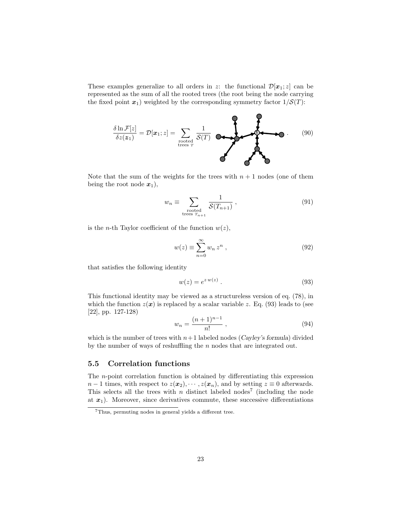These examples generalize to all orders in z: the functional  $\mathcal{D}[x_1; z]$  can be represented as the sum of all the rooted trees (the root being the node carrying the fixed point  $x_1$ ) weighted by the corresponding symmetry factor  $1/\mathcal{S}(T)$ :



Note that the sum of the weights for the trees with  $n + 1$  nodes (one of them being the root node  $x_1$ ,

$$
w_n \equiv \sum_{\substack{\text{rooted} \\ \text{trees } T_{n+1}}} \frac{1}{\mathcal{S}(T_{n+1})},\tag{91}
$$

is the *n*-th Taylor coefficient of the function  $w(z)$ ,

$$
w(z) \equiv \sum_{n=0}^{\infty} w_n z^n , \qquad (92)
$$

that satisfies the following identity

$$
w(z) = e^{z w(z)}.
$$
\n
$$
(93)
$$

This functional identity may be viewed as a structureless version of eq. (78), in which the function  $z(x)$  is replaced by a scalar variable z. Eq. (93) leads to (see [22], pp. 127-128)

$$
w_n = \frac{(n+1)^{n-1}}{n!} \,,\tag{94}
$$

which is the number of trees with  $n+1$  labeled nodes (Cayley's formula) divided by the number of ways of reshuffling the n nodes that are integrated out.

## 5.5 Correlation functions

The n-point correlation function is obtained by differentiating this expression  $n-1$  times, with respect to  $z(x_2), \dots, z(x_n)$ , and by setting  $z \equiv 0$  afterwards. This selects all the trees with  $n$  distinct labeled nodes<sup>7</sup> (including the node at  $x_1$ ). Moreover, since derivatives commute, these successive differentiations

<sup>7</sup>Thus, permuting nodes in general yields a different tree.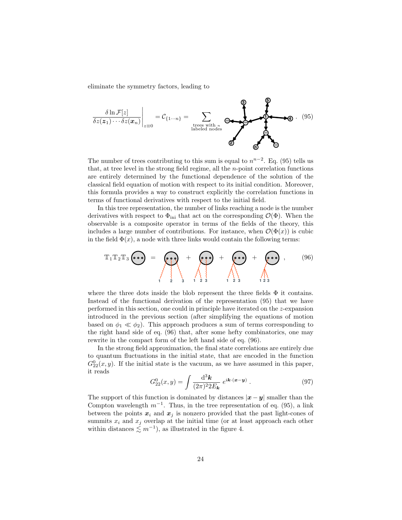eliminate the symmetry factors, leading to

$$
\frac{\delta \ln \mathcal{F}[z]}{\delta z(z_1) \cdots \delta z(x_n)}\bigg|_{z=0} = \mathcal{C}_{\{1\cdots n\}} = \sum_{\text{trees with } n \atop \text{labeled nodes}} \underbrace{\bullet}_{\text{modelsed nodes}} \underbrace{\bullet}_{\text{op}} \bullet \bullet \bullet \quad (95)
$$

The number of trees contributing to this sum is equal to  $n^{n-2}$ . Eq. (95) tells us that, at tree level in the strong field regime, all the  $n$ -point correlation functions are entirely determined by the functional dependence of the solution of the classical field equation of motion with respect to its initial condition. Moreover, this formula provides a way to construct explicitly the correlation functions in terms of functional derivatives with respect to the initial field.

In this tree representation, the number of links reaching a node is the number derivatives with respect to  $\Phi_{\text{ini}}$  that act on the corresponding  $\mathcal{O}(\Phi)$ . When the observable is a composite operator in terms of the fields of the theory, this includes a large number of contributions. For instance, when  $\mathcal{O}(\Phi(x))$  is cubic in the field  $\Phi(x)$ , a node with three links would contain the following terms:

$$
\mathbb{T}_1 \mathbb{T}_2 \mathbb{T}_3 \bigodot = \bigotimes_{\left\{\begin{matrix}1\\2\end{matrix}\right\}} + \bigotimes_{\left\{\begin{matrix}1\\2\end{matrix}\right\}} + \bigotimes_{\left\{\begin{matrix}1\\2\end{matrix}\right\}} + \bigotimes_{\left\{\begin{matrix}1\\2\end{matrix}\right\}} + \bigotimes_{\left\{\begin{matrix}1\\2\end{matrix}\right\}} ,\qquad (96)
$$

where the three dots inside the blob represent the three fields  $\Phi$  it contains. Instead of the functional derivation of the representation (95) that we have performed in this section, one could in principle have iterated on the z-expansion introduced in the previous section (after simplifying the equations of motion based on  $\phi_1 \ll \phi_2$ ). This approach produces a sum of terms corresponding to the right hand side of eq. (96) that, after some hefty combinatorics, one may rewrite in the compact form of the left hand side of eq. (96).

In the strong field approximation, the final state correlations are entirely due to quantum fluctuations in the initial state, that are encoded in the function  $G_{22}^{0}(x, y)$ . If the initial state is the vacuum, as we have assumed in this paper, it reads

$$
G_{22}^{0}(x,y) = \int \frac{\mathrm{d}^{3} \mathbf{k}}{(2\pi)^{2} 2E_{\mathbf{k}}} e^{i\mathbf{k} \cdot (\mathbf{x} - \mathbf{y})} . \tag{97}
$$

The support of this function is dominated by distances  $|x - y|$  smaller than the Compton wavelength  $m^{-1}$ . Thus, in the tree representation of eq. (95), a link between the points  $x_i$  and  $x_j$  is nonzero provided that the past light-cones of summits  $x_i$  and  $x_j$  overlap at the initial time (or at least approach each other within distances  $\leq m^{-1}$ , as illustrated in the figure 4.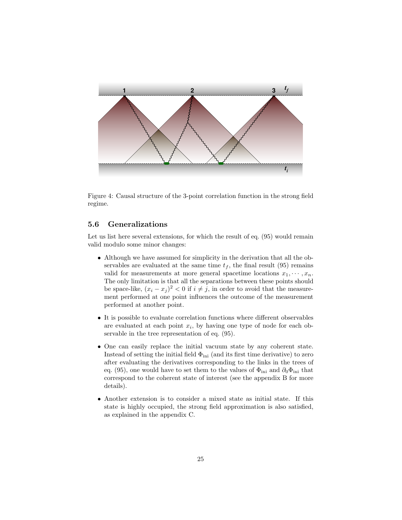

Figure 4: Causal structure of the 3-point correlation function in the strong field regime.

## 5.6 Generalizations

Let us list here several extensions, for which the result of eq.  $(95)$  would remain valid modulo some minor changes:

- Although we have assumed for simplicity in the derivation that all the observables are evaluated at the same time  $t_f$ , the final result (95) remains valid for measurements at more general spacetime locations  $x_1, \dots, x_n$ . The only limitation is that all the separations between these points should be space-like,  $(x_i - x_j)^2 < 0$  if  $i \neq j$ , in order to avoid that the measurement performed at one point influences the outcome of the measurement performed at another point.
- It is possible to evaluate correlation functions where different observables are evaluated at each point  $x_i$ , by having one type of node for each observable in the tree representation of eq. (95).
- One can easily replace the initial vacuum state by any coherent state. Instead of setting the initial field  $\Phi_{\text{ini}}$  (and its first time derivative) to zero after evaluating the derivatives corresponding to the links in the trees of eq. (95), one would have to set them to the values of  $\Phi_{\text{ini}}$  and  $\partial_0\Phi_{\text{ini}}$  that correspond to the coherent state of interest (see the appendix B for more details).
- Another extension is to consider a mixed state as initial state. If this state is highly occupied, the strong field approximation is also satisfied, as explained in the appendix C.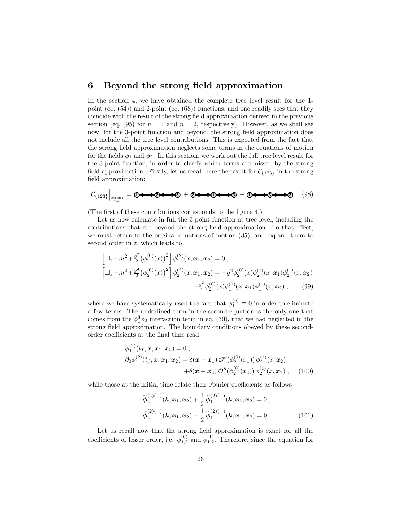# 6 Beyond the strong field approximation

In the section 4, we have obtained the complete tree level result for the 1 point (eq. (54)) and 2-point (eq. (68)) functions, and one readily sees that they coincide with the result of the strong field approximation derived in the previous section (eq. (95) for  $n = 1$  and  $n = 2$ , respectively). However, as we shall see now, for the 3-point function and beyond, the strong field approximation does not include all the tree level contributions. This is expected from the fact that the strong field approximation neglects some terms in the equations of motion for the fields  $\phi_1$  and  $\phi_2$ . In this section, we work out the full tree level result for the 3-point function, in order to clarify which terms are missed by the strong field approximation. Firstly, let us recall here the result for  $C_{\{123\}}$  in the strong field approximation:

$$
\mathcal{C}_{\{123\}}\Big|_{\text{strong}\atop \text{field}} = \text{0} \leftarrow \text{0} \leftarrow \text{0} \leftarrow \text{0} \leftarrow \text{0} \leftarrow \text{0} \leftarrow \text{0} \leftarrow \text{0} \leftarrow \text{0} \leftarrow \text{0} \leftarrow \text{0} \leftarrow \text{0} \leftarrow \text{0} \leftarrow \text{0} \leftarrow \text{0} \leftarrow \text{0} \leftarrow \text{0} \leftarrow \text{0} \leftarrow \text{0} \leftarrow \text{0} \leftarrow \text{0} \leftarrow \text{0} \leftarrow \text{0} \leftarrow \text{0} \leftarrow \text{0} \leftarrow \text{0} \leftarrow \text{0} \leftarrow \text{0} \leftarrow \text{0} \leftarrow \text{0} \leftarrow \text{0} \leftarrow \text{0} \leftarrow \text{0} \leftarrow \text{0} \leftarrow \text{0} \leftarrow \text{0} \leftarrow \text{0} \leftarrow \text{0} \leftarrow \text{0} \leftarrow \text{0} \leftarrow \text{0} \leftarrow \text{0} \leftarrow \text{0} \leftarrow \text{0} \leftarrow \text{0} \leftarrow \text{0} \leftarrow \text{0} \leftarrow \text{0} \leftarrow \text{0} \leftarrow \text{0} \leftarrow \text{0} \leftarrow \text{0} \leftarrow \text{0} \leftarrow \text{0} \leftarrow \text{0} \leftarrow \text{0} \leftarrow \text{0} \leftarrow \text{0} \leftarrow \text{0} \leftarrow \text{0} \leftarrow \text{0} \leftarrow \text{0} \leftarrow \text{0} \leftarrow \text{0} \leftarrow \text{0} \leftarrow \text{0} \leftarrow \text{0} \leftarrow \text{0} \leftarrow \text{0} \leftarrow \text{0} \leftarrow \text{0} \leftarrow \text{0} \leftarrow \text{0} \leftarrow \text{0} \leftarrow \text{0} \leftarrow \text{0} \leftarrow \text{0} \leftarrow \text{0} \leftarrow \text{0} \leftarrow \text{0} \leftarrow \text{0} \leftarrow \text{0} \leftarrow \text{0} \leftarrow \text{0} \leftarrow \text{0} \leftarrow \text{0} \leftarrow \text{0} \leftarrow \text{0} \leftarrow \text{0} \leftarrow \text{0} \leftarrow \text{0} \leftarrow \text
$$

(The first of these contributions corresponds to the figure 4.)

Let us now calculate in full the 3-point function at tree level, including the contributions that are beyond the strong field approximation. To that effect, we must return to the original equations of motion (35), and expand them to second order in z, which leads to

$$
\left[\Box_x + m^2 + \frac{g^2}{2} \left(\phi_2^{(0)}(x)\right)^2\right] \phi_1^{(2)}(x; \mathbf{x}_1, \mathbf{x}_2) = 0,
$$
\n
$$
\left[\Box_x + m^2 + \frac{g^2}{2} \left(\phi_2^{(0)}(x)\right)^2\right] \phi_2^{(2)}(x; \mathbf{x}_1, \mathbf{x}_2) = -g^2 \phi_2^{(0)}(x) \phi_2^{(1)}(x; \mathbf{x}_1) \phi_2^{(1)}(x; \mathbf{x}_2)
$$
\n
$$
-\frac{g^2}{4} \phi_2^{(0)}(x) \phi_1^{(1)}(x; \mathbf{x}_1) \phi_1^{(1)}(x; \mathbf{x}_2), \qquad (99)
$$

where we have systematically used the fact that  $\phi_1^{(0)} \equiv 0$  in order to eliminate a few terms. The underlined term in the second equation is the only one that comes from the  $\phi_1^3 \phi_2$  interaction term in eq. (30), that we had neglected in the strong field approximation. The boundary conditions obeyed by these secondorder coefficients at the final time read

$$
\phi_1^{(2)}(t_f, \mathbf{x}; \mathbf{x}_1, \mathbf{x}_2) = 0 ,
$$
  
\n
$$
\partial_0 \phi_1^{(2)}(t_f, \mathbf{x}; \mathbf{x}_1, \mathbf{x}_2) = \delta(\mathbf{x} - \mathbf{x}_1) \mathcal{O}''(\phi_2^{(0)}(x_1)) \phi_2^{(1)}(x, \mathbf{x}_2)
$$
  
\n
$$
+ \delta(\mathbf{x} - \mathbf{x}_2) \mathcal{O}''(\phi_2^{(0)}(x_2)) \phi_2^{(1)}(x, \mathbf{x}_1) ,
$$
 (100)

while those at the initial time relate their Fourier coefficients as follows

$$
\widetilde{\phi}_{2}^{(2)(+)}(\mathbf{k};x_{1},x_{2})+\frac{1}{2}\widetilde{\phi}_{1}^{(2)(+)}(\mathbf{k};x_{1},x_{2})=0 ,\n\widetilde{\phi}_{2}^{(2)(-)}(\mathbf{k};x_{1},x_{2})-\frac{1}{2}\widetilde{\phi}_{1}^{(2)(-)}(\mathbf{k};x_{1},x_{2})=0 .
$$
\n(101)

Let us recall now that the strong field approximation is exact for all the coefficients of lesser order, i.e.  $\phi_{1,2}^{(0)}$  and  $\phi_{1,2}^{(1)}$ . Therefore, since the equation for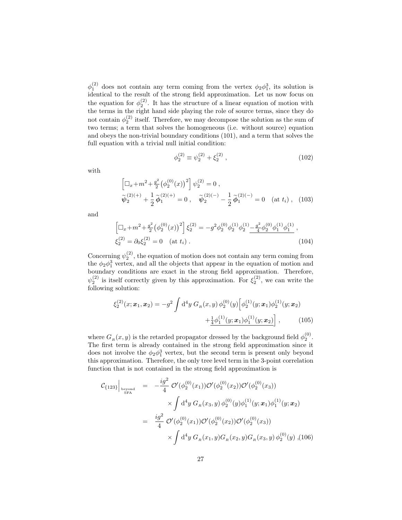$\phi_1^{(2)}$  does not contain any term coming from the vertex  $\phi_2 \phi_1^3$ , its solution is identical to the result of the strong field approximation. Let us now focus on the equation for  $\phi_2^{(2)}$ . It has the structure of a linear equation of motion with the terms in the right hand side playing the role of source terms, since they do not contain  $\phi_2^{(2)}$  itself. Therefore, we may decompose the solution as the sum of two terms; a term that solves the homogeneous (i.e. without source) equation and obeys the non-trivial boundary conditions (101), and a term that solves the full equation with a trivial null initial condition:

$$
\phi_2^{(2)} \equiv \psi_2^{(2)} + \xi_2^{(2)} , \qquad (102)
$$

with

$$
\left[\Box_x + m^2 + \frac{g^2}{2} \left(\phi_2^{(0)}(x)\right)^2\right] \psi_2^{(2)} = 0,
$$
  

$$
\widetilde{\psi}_2^{(2)(+)} + \frac{1}{2} \widetilde{\phi}_1^{(2)(+)} = 0, \quad \widetilde{\psi}_2^{(2)(-)} - \frac{1}{2} \widetilde{\phi}_1^{(2)(-)} = 0 \quad (\text{at } t_i), \quad (103)
$$

and

$$
\left[\Box_x + m^2 + \frac{g^2}{2} \left(\phi_2^{(0)}(x)\right)^2\right] \xi_2^{(2)} = -g^2 \phi_2^{(0)} \phi_2^{(1)} \phi_2^{(1)} - \frac{g^2}{4} \phi_2^{(0)} \phi_1^{(1)} \phi_1^{(1)} ,
$$
  

$$
\xi_2^{(2)} = \partial_0 \xi_2^{(2)} = 0 \quad (\text{at } t_i) .
$$
 (104)

Concerning  $\psi_2^{(2)}$ , the equation of motion does not contain any term coming from the  $\phi_2 \phi_1^3$  vertex, and all the objects that appear in the equation of motion and boundary conditions are exact in the strong field approximation. Therefore,  $\psi_2^{(2)}$  is itself correctly given by this approximation. For  $\xi_2^{(2)}$ , we can write the following solution:

$$
\xi_2^{(2)}(x; \mathbf{x}_1, \mathbf{x}_2) = -g^2 \int d^4 y \ G_R(x, y) \phi_2^{(0)}(y) \left[ \phi_2^{(1)}(y; \mathbf{x}_1) \phi_2^{(1)}(y; \mathbf{x}_2) + \frac{1}{4} \phi_1^{(1)}(y; \mathbf{x}_1) \phi_1^{(1)}(y; \mathbf{x}_2) \right], \tag{105}
$$

where  $G_R(x, y)$  is the retarded propagator dressed by the background field  $\phi_2^{(0)}$ . The first term is already contained in the strong field approximation since it does not involve the  $\phi_2 \phi_1^3$  vertex, but the second term is present only beyond this approximation. Therefore, the only tree level term in the 3-point correlation function that is not contained in the strong field approximation is

$$
\mathcal{C}_{\{123\}}\Big|_{\text{beyond}} = -\frac{ig^2}{4} \mathcal{O}'(\phi_2^{(0)}(x_1))\mathcal{O}'(\phi_2^{(0)}(x_2))\mathcal{O}'(\phi_2^{(0)}(x_3))
$$
  

$$
\times \int d^4y \ G_R(x_3, y) \phi_2^{(0)}(y)\phi_1^{(1)}(y; \mathbf{x}_1)\phi_1^{(1)}(y; \mathbf{x}_2)
$$
  

$$
= \frac{ig^2}{4} \mathcal{O}'(\phi_2^{(0)}(x_1))\mathcal{O}'(\phi_2^{(0)}(x_2))\mathcal{O}'(\phi_2^{(0)}(x_3))
$$
  

$$
\times \int d^4y \ G_R(x_1, y)G_R(x_2, y)G_R(x_3, y) \phi_2^{(0)}(y) , (106)
$$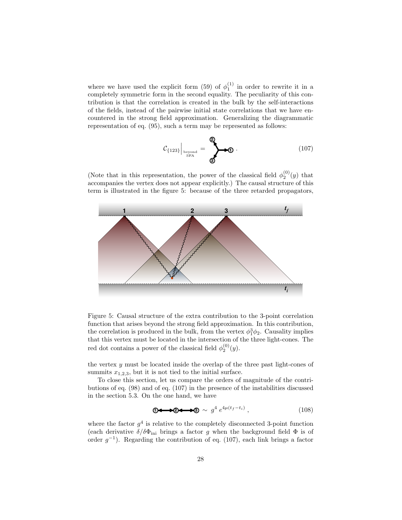where we have used the explicit form (59) of  $\phi_1^{(1)}$  in order to rewrite it in a completely symmetric form in the second equality. The peculiarity of this contribution is that the correlation is created in the bulk by the self-interactions of the fields, instead of the pairwise initial state correlations that we have encountered in the strong field approximation. Generalizing the diagrammatic representation of eq. (95), such a term may be represented as follows:

$$
\mathcal{C}_{\{123\}}\Big|_{\substack{\text{beyond}\\ \text{SFA}}} = \bigotimes_{\text{S}} \bullet \text{.}
$$
 (107)

(Note that in this representation, the power of the classical field  $\phi_2^{(0)}(y)$  that accompanies the vertex does not appear explicitly.) The causal structure of this term is illustrated in the figure 5: because of the three retarded propagators,



Figure 5: Causal structure of the extra contribution to the 3-point correlation function that arises beyond the strong field approximation. In this contribution, the correlation is produced in the bulk, from the vertex  $\phi_1^3 \phi_2$ . Causality implies that this vertex must be located in the intersection of the three light-cones. The red dot contains a power of the classical field  $\phi_2^{(0)}(y)$ .

the vertex  $y$  must be located inside the overlap of the three past light-cones of summits  $x_{1,2,3}$ , but it is not tied to the initial surface.

To close this section, let us compare the orders of magnitude of the contributions of eq. (98) and of eq. (107) in the presence of the instabilities discussed in the section 5.3. On the one hand, we have

$$
\mathbf{0} \leftarrow \blacktriangleright \mathbf{0} \leftarrow \blacktriangleright \mathbf{0} \sim g^4 \, e^{4\mu(t_f - t_i)} \,, \tag{108}
$$

where the factor  $g<sup>4</sup>$  is relative to the completely disconnected 3-point function (each derivative  $\delta/\delta\Phi_{\rm ini}$  brings a factor g when the background field  $\Phi$  is of order  $g^{-1}$ ). Regarding the contribution of eq. (107), each link brings a factor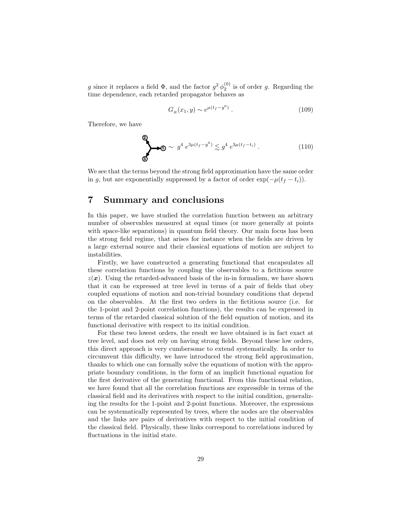g since it replaces a field  $\Phi$ , and the factor  $g^2 \phi_2^{(0)}$  is of order g. Regarding the time dependence, each retarded propagator behaves as

$$
G_R(x_1, y) \sim e^{\mu(t_f - y^0)}.
$$
\n(109)

Therefore, we have

$$
\bigotimes \Phi \sim g^4 e^{3\mu(t_f - y^0)} \lesssim g^4 e^{3\mu(t_f - t_i)}.
$$
 (110)

We see that the terms beyond the strong field approximation have the same order in g, but are exponentially suppressed by a factor of order  $\exp(-\mu(t_f - t_i)).$ 

# 7 Summary and conclusions

In this paper, we have studied the correlation function between an arbitrary number of observables measured at equal times (or more generally at points with space-like separations) in quantum field theory. Our main focus has been the strong field regime, that arises for instance when the fields are driven by a large external source and their classical equations of motion are subject to instabilities.

Firstly, we have constructed a generating functional that encapsulates all these correlation functions by coupling the observables to a fictitious source  $z(x)$ . Using the retarded-advanced basis of the in-in formalism, we have shown that it can be expressed at tree level in terms of a pair of fields that obey coupled equations of motion and non-trivial boundary conditions that depend on the observables. At the first two orders in the fictitious source (i.e. for the 1-point and 2-point correlation functions), the results can be expressed in terms of the retarded classical solution of the field equation of motion, and its functional derivative with respect to its initial condition.

For these two lowest orders, the result we have obtained is in fact exact at tree level, and does not rely on having strong fields. Beyond these low orders, this direct approach is very cumbersome to extend systematically. In order to circumvent this difficulty, we have introduced the strong field approximation, thanks to which one can formally solve the equations of motion with the appropriate boundary conditions, in the form of an implicit functional equation for the first derivative of the generating functional. From this functional relation, we have found that all the correlation functions are expressible in terms of the classical field and its derivatives with respect to the initial condition, generalizing the results for the 1-point and 2-point functions. Moreover, the expressions can be systematically represented by trees, where the nodes are the observables and the links are pairs of derivatives with respect to the initial condition of the classical field. Physically, these links correspond to correlations induced by fluctuations in the initial state.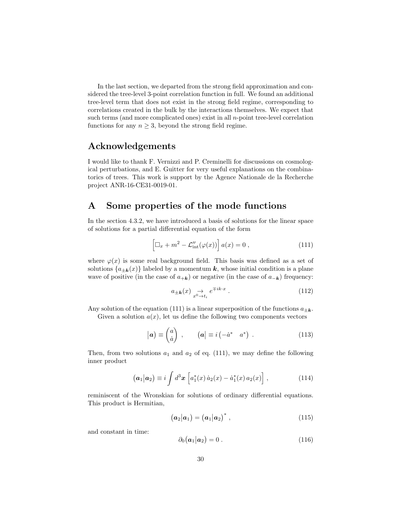In the last section, we departed from the strong field approximation and considered the tree-level 3-point correlation function in full. We found an additional tree-level term that does not exist in the strong field regime, corresponding to correlations created in the bulk by the interactions themselves. We expect that such terms (and more complicated ones) exist in all n-point tree-level correlation functions for any  $n \geq 3$ , beyond the strong field regime.

# Acknowledgements

I would like to thank F. Vernizzi and P. Creminelli for discussions on cosmological perturbations, and E. Guitter for very useful explanations on the combinatorics of trees. This work is support by the Agence Nationale de la Recherche project ANR-16-CE31-0019-01.

# A Some properties of the mode functions

In the section 4.3.2, we have introduced a basis of solutions for the linear space of solutions for a partial differential equation of the form

$$
\left[\Box_x + m^2 - \mathcal{L}_{\text{int}}''(\varphi(x))\right] a(x) = 0 , \qquad (111)
$$

where  $\varphi(x)$  is some real background field. This basis was defined as a set of solutions  ${a_{\pm \mathbf{k}}(x)}$  labeled by a momentum k, whose initial condition is a plane wave of positive (in the case of  $a_{+k}$ ) or negative (in the case of  $a_{-k}$ ) frequency:

$$
a_{\pm \mathbf{k}}(x) \underset{x^0 \to t_i}{\to} e^{\mp ik \cdot x} . \tag{112}
$$

Any solution of the equation (111) is a linear superposition of the functions  $a_{+\mathbf{k}}$ . Given a solution  $a(x)$ , let us define the following two components vectors

$$
|\boldsymbol{a}) \equiv \begin{pmatrix} a \\ \dot{a} \end{pmatrix} , \qquad (\boldsymbol{a}) \equiv i \begin{pmatrix} -\dot{a}^* & a^* \end{pmatrix} . \tag{113}
$$

Then, from two solutions  $a_1$  and  $a_2$  of eq. (111), we may define the following inner product

$$
(\mathbf{a}_1|\mathbf{a}_2) \equiv i \int d^3 \mathbf{x} \left[ a_1^*(x) \dot{a}_2(x) - \dot{a}_1^*(x) a_2(x) \right], \qquad (114)
$$

reminiscent of the Wronskian for solutions of ordinary differential equations. This product is Hermitian,

$$
(\bm{a}_2|\bm{a}_1) = (\bm{a}_1|\bm{a}_2)^*, \qquad (115)
$$

and constant in time:

$$
\partial_0(\boldsymbol{a}_1|\boldsymbol{a}_2)=0\,. \tag{116}
$$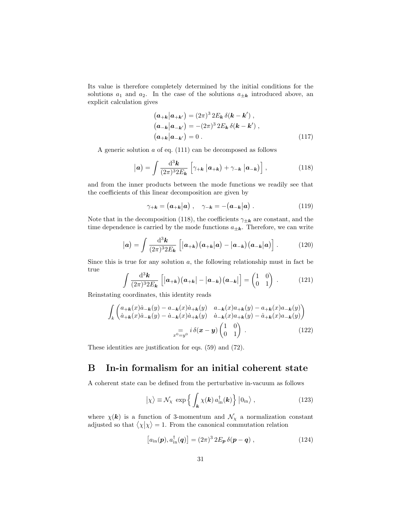Its value is therefore completely determined by the initial conditions for the solutions  $a_1$  and  $a_2$ . In the case of the solutions  $a_{\pm k}$  introduced above, an explicit calculation gives

$$
\begin{aligned}\n\left(\mathbf{a}_{+\mathbf{k}}|\mathbf{a}_{+\mathbf{k'}}\right) &= (2\pi)^3 2E_\mathbf{k} \,\delta(\mathbf{k} - \mathbf{k'}) ,\\
\left(\mathbf{a}_{-\mathbf{k}}|\mathbf{a}_{-\mathbf{k'}}\right) &= -(2\pi)^3 2E_\mathbf{k} \,\delta(\mathbf{k} - \mathbf{k'}) ,\\
\left(\mathbf{a}_{+\mathbf{k}}|\mathbf{a}_{-\mathbf{k'}}\right) &= 0 .\n\end{aligned} \tag{117}
$$

A generic solution a of eq. (111) can be decomposed as follows

$$
|\mathbf{a}) = \int \frac{\mathrm{d}^3 \mathbf{k}}{(2\pi)^3 2E_\mathbf{k}} \left[ \gamma_{+\mathbf{k}} \left| \mathbf{a}_{+\mathbf{k}} \right. \right) + \gamma_{-\mathbf{k}} \left| \mathbf{a}_{-\mathbf{k}} \right. \right], \tag{118}
$$

and from the inner products between the mode functions we readily see that the coefficients of this linear decomposition are given by

$$
\gamma_{+\mathbf{k}} = (\mathbf{a}_{+\mathbf{k}}|\mathbf{a}), \quad \gamma_{-\mathbf{k}} = -(\mathbf{a}_{-\mathbf{k}}|\mathbf{a}). \tag{119}
$$

Note that in the decomposition (118), the coefficients  $\gamma_{\pm k}$  are constant, and the time dependence is carried by the mode functions  $a_{\pm \mathbf{k}}$ . Therefore, we can write

$$
|\mathbf{a}) = \int \frac{\mathrm{d}^3 \mathbf{k}}{(2\pi)^3 2E_\mathbf{k}} \left[ |\mathbf{a}_{+\mathbf{k}}| (\mathbf{a}_{+\mathbf{k}}|\mathbf{a}) - |\mathbf{a}_{-\mathbf{k}}| (\mathbf{a}_{-\mathbf{k}}|\mathbf{a}) \right]. \tag{120}
$$

Since this is true for any solution  $a$ , the following relationship must in fact be true

$$
\int \frac{\mathrm{d}^3 \mathbf{k}}{(2\pi)^3 2E_{\mathbf{k}}} \left[ |\mathbf{a}_{+\mathbf{k}}| (\mathbf{a}_{+\mathbf{k}}| - |\mathbf{a}_{-\mathbf{k}}) (\mathbf{a}_{-\mathbf{k}}| \right] = \begin{pmatrix} 1 & 0 \\ 0 & 1 \end{pmatrix} . \tag{121}
$$

Reinstating coordinates, this identity reads

$$
\int_{k} \begin{pmatrix} a_{+\mathbf{k}}(x)\dot{a}_{-\mathbf{k}}(y) - a_{-\mathbf{k}}(x)\dot{a}_{+\mathbf{k}}(y) & a_{-\mathbf{k}}(x)a_{+\mathbf{k}}(y) - a_{+\mathbf{k}}(x)a_{-\mathbf{k}}(y) \\ \dot{a}_{+\mathbf{k}}(x)\dot{a}_{-\mathbf{k}}(y) - \dot{a}_{-\mathbf{k}}(x)\dot{a}_{+\mathbf{k}}(y) & \dot{a}_{-\mathbf{k}}(x)a_{+\mathbf{k}}(y) - \dot{a}_{+\mathbf{k}}(x)a_{-\mathbf{k}}(y) \end{pmatrix}
$$
\n
$$
= i \delta(\mathbf{x} - \mathbf{y}) \begin{pmatrix} 1 & 0 \\ 0 & 1 \end{pmatrix} . \tag{122}
$$

These identities are justification for eqs. (59) and (72).

# B In-in formalism for an initial coherent state

A coherent state can be defined from the perturbative in-vacuum as follows

$$
|\chi\rangle \equiv \mathcal{N}_{\chi} \, \exp\left\{ \int_{\mathbf{k}} \chi(\mathbf{k}) \, a_{\rm in}^{\dagger}(\mathbf{k}) \right\} |0_{\rm in}\rangle \,, \tag{123}
$$

where  $\chi(k)$  is a function of 3-momentum and  $\mathcal{N}_{\chi}$  a normalization constant adjusted so that  $\langle \chi | \chi \rangle = 1$ . From the canonical commutation relation

$$
\left[a_{\rm in}(\boldsymbol{p}), a_{\rm in}^\dagger(\boldsymbol{q})\right] = (2\pi)^3 2E_{\boldsymbol{p}} \,\delta(\boldsymbol{p} - \boldsymbol{q})\,,\tag{124}
$$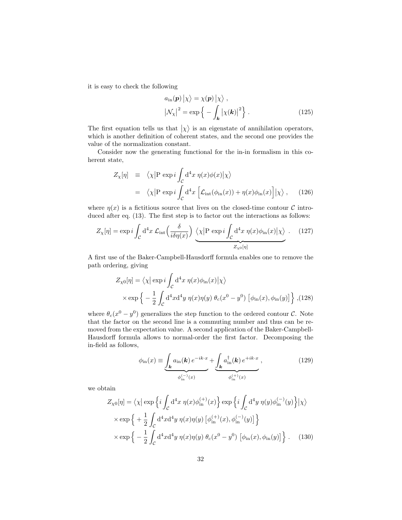it is easy to check the following

$$
a_{\rm in}(\mathbf{p}) | \chi \rangle = \chi(\mathbf{p}) | \chi \rangle ,
$$
  

$$
|\mathcal{N}_{\chi}|^{2} = \exp \left\{-\int_{\mathbf{k}} |\chi(\mathbf{k})|^{2}\right\}.
$$
 (125)

The first equation tells us that  $|\chi\rangle$  is an eigenstate of annihilation operators, which is another definition of coherent states, and the second one provides the value of the normalization constant.

Consider now the generating functional for the in-in formalism in this coherent state,

$$
Z_{\chi}[\eta] \equiv \langle \chi | P \exp i \int_{\mathcal{C}} d^4 x \eta(x) \phi(x) | \chi \rangle
$$
  
=  $\langle \chi | P \exp i \int_{\mathcal{C}} d^4 x \left[ \mathcal{L}_{\text{int}}(\phi_{\text{in}}(x)) + \eta(x) \phi_{\text{in}}(x) \right] | \chi \rangle$ , (126)

where  $\eta(x)$  is a fictitious source that lives on the closed-time contour C introduced after eq.  $(13)$ . The first step is to factor out the interactions as follows:

$$
Z_{\chi}[\eta] = \exp i \int_{\mathcal{C}} d^4 x \, \mathcal{L}_{\text{int}}\left(\frac{\delta}{i\delta\eta(x)}\right) \underbrace{\langle \chi | P \exp i \int_{\mathcal{C}} d^4 x \, \eta(x)\phi_{\text{in}}(x) | \chi \rangle}_{Z_{\chi_0}[\eta]}.
$$
 (127)

A first use of the Baker-Campbell-Hausdorff formula enables one to remove the path ordering, giving

$$
Z_{\chi 0}[\eta] = \langle \chi | \exp i \int_C d^4 x \ \eta(x) \phi_{\rm in}(x) | \chi \rangle
$$
  
 
$$
\times \exp \left\{ -\frac{1}{2} \int_C d^4 x d^4 y \ \eta(x) \eta(y) \ \theta_c(x^0 - y^0) \ [\phi_{\rm in}(x), \phi_{\rm in}(y)] \right\}, (128)
$$

where  $\theta_c(x^0 - y^0)$  generalizes the step function to the ordered contour C. Note that the factor on the second line is a commuting number and thus can be removed from the expectation value. A second application of the Baker-Campbell-Hausdorff formula allows to normal-order the first factor. Decomposing the in-field as follows,

$$
\phi_{\rm in}(x) \equiv \underbrace{\int_{\mathbf{k}} a_{\rm in}(\mathbf{k}) e^{-ik \cdot x}}_{\phi_{\rm in}^{(-)}(x)} + \underbrace{\int_{\mathbf{k}} a_{\rm in}^{\dagger}(\mathbf{k}) e^{+ik \cdot x}}_{\phi_{\rm in}^{(+)}(x)},
$$
\n(129)

we obtain

$$
Z_{\chi 0}[\eta] = \langle \chi | \exp \left\{ i \int_C \mathrm{d}^4 x \ \eta(x) \phi_{\mathrm{in}}^{(+)}(x) \right\} \exp \left\{ i \int_C \mathrm{d}^4 y \ \eta(y) \phi_{\mathrm{in}}^{(-)}(y) \right\} | \chi \rangle
$$
  
 
$$
\times \exp \left\{ + \frac{1}{2} \int_C \mathrm{d}^4 x \mathrm{d}^4 y \ \eta(x) \eta(y) \left[ \phi_{\mathrm{in}}^{(+)}(x), \phi_{\mathrm{in}}^{(-)}(y) \right] \right\}
$$
  
 
$$
\times \exp \left\{ - \frac{1}{2} \int_C \mathrm{d}^4 x \mathrm{d}^4 y \ \eta(x) \eta(y) \ \theta_c(x^0 - y^0) \left[ \phi_{\mathrm{in}}(x), \phi_{\mathrm{in}}(y) \right] \right\}. \tag{130}
$$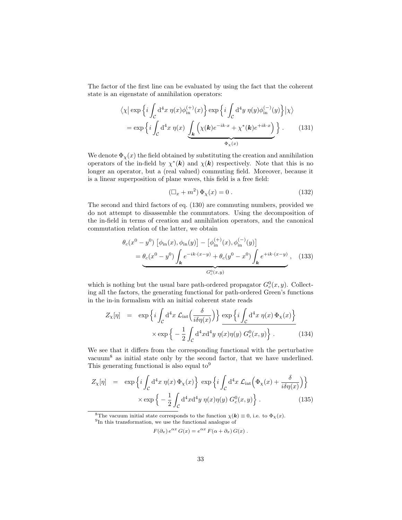The factor of the first line can be evaluated by using the fact that the coherent state is an eigenstate of annihilation operators:

$$
\langle \chi | \exp \left\{ i \int_C d^4 x \ \eta(x) \phi_{\rm in}^{(+)}(x) \right\} \exp \left\{ i \int_C d^4 y \ \eta(y) \phi_{\rm in}^{(-)}(y) \right\} | \chi \rangle
$$
  
= 
$$
\exp \left\{ i \int_C d^4 x \ \eta(x) \underbrace{\int_{\mathbf{k}} \left( \chi(\mathbf{k}) e^{-ik \cdot x} + \chi^*(\mathbf{k}) e^{+ik \cdot x} \right)}_{\Phi_\chi(x)} \right\}.
$$
 (131)

We denote  $\Phi_{\chi}(x)$  the field obtained by substituting the creation and annihilation operators of the in-field by  $\chi^*(\mathbf{k})$  and  $\chi(\mathbf{k})$  respectively. Note that this is no longer an operator, but a (real valued) commuting field. Moreover, because it is a linear superposition of plane waves, this field is a free field:

$$
\left(\Box_x + m^2\right)\Phi_\chi(x) = 0\,. \tag{132}
$$

The second and third factors of eq. (130) are commuting numbers, provided we do not attempt to disassemble the commutators. Using the decomposition of the in-field in terms of creation and annihilation operators, and the canonical commutation relation of the latter, we obtain

$$
\theta_c(x^0 - y^0) \left[ \phi_{\text{in}}(x), \phi_{\text{in}}(y) \right] - \left[ \phi_{\text{in}}^{(+)}(x), \phi_{\text{in}}^{(-)}(y) \right]
$$
  
= 
$$
\underbrace{\theta_c(x^0 - y^0) \int_{\mathbf{k}} e^{-ik \cdot (x - y)} + \theta_c(y^0 - x^0) \int_{\mathbf{k}} e^{+ik \cdot (x - y)}, \quad (133)}
$$
  
G\_c^0(x,y)

which is nothing but the usual bare path-ordered propagator  $G_c^0(x, y)$ . Collecting all the factors, the generating functional for path-ordered Green's functions in the in-in formalism with an initial coherent state reads

$$
Z_{\chi}[\eta] = \exp\left\{i \int_{\mathcal{C}} d^4 x \mathcal{L}_{\text{int}}\left(\frac{\delta}{i\delta\eta(x)}\right)\right\} \frac{\exp\left\{i \int_{\mathcal{C}} d^4 x \eta(x) \Phi_{\chi}(x)\right\}}{\exp\left\{-\frac{1}{2} \int_{\mathcal{C}} d^4 x d^4 y \eta(x) \eta(y) G_c^0(x, y)\right\}}.
$$
(134)

We see that it differs from the corresponding functional with the perturbative vacuum<sup>8</sup> as initial state only by the second factor, that we have underlined. This generating functional is also equal to<sup>9</sup>

$$
Z_{\chi}[\eta] = \exp\left\{i \int_{\mathcal{C}} d^4 x \ \eta(x) \Phi_{\chi}(x)\right\} \exp\left\{i \int_{\mathcal{C}} d^4 x \ \mathcal{L}_{\text{int}}\left(\Phi_{\chi}(x) + \frac{\delta}{i\delta\eta(x)}\right)\right\} \times \exp\left\{-\frac{1}{2} \int_{\mathcal{C}} d^4 x d^4 y \ \eta(x)\eta(y) \ G_{c}^0(x,y)\right\}.
$$
 (135)

<sup>8</sup>The vacuum initial state corresponds to the function  $\chi(\mathbf{k}) \equiv 0$ , i.e. to  $\Phi_{\chi}(x)$ . <sup>9</sup>In this transformation, we use the functional analogue of

$$
F(\partial_x) e^{\alpha x} G(x) = e^{\alpha x} F(\alpha + \partial_x) G(x) .
$$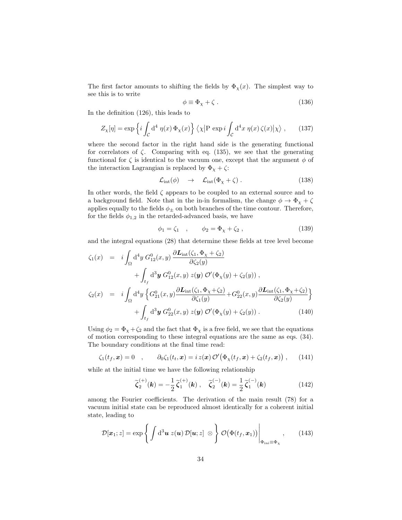The first factor amounts to shifting the fields by  $\Phi_{\chi}(x)$ . The simplest way to see this is to write

$$
\phi \equiv \Phi_{\chi} + \zeta \,. \tag{136}
$$

In the definition (126), this leads to

$$
Z_{\chi}[\eta] = \exp\left\{i \int_{\mathcal{C}} d^4 \eta(x) \,\Phi_{\chi}(x)\right\} \langle \chi | P \exp i \int_{\mathcal{C}} d^4 x \,\eta(x) \,\zeta(x) | \chi \rangle \,,\tag{137}
$$

where the second factor in the right hand side is the generating functional for correlators of  $\zeta$ . Comparing with eq. (135), we see that the generating functional for  $\zeta$  is identical to the vacuum one, except that the argument  $\phi$  of the interaction Lagrangian is replaced by  $\Phi_{\chi} + \zeta$ :

$$
\mathcal{L}_{\text{int}}(\phi) \quad \to \quad \mathcal{L}_{\text{int}}(\Phi_{\chi} + \zeta) \,. \tag{138}
$$

In other words, the field  $\zeta$  appears to be coupled to an external source and to a background field. Note that in the in-in formalism, the change  $\phi \to \Phi_{\chi} + \zeta$ applies equally to the fields  $\phi_{\pm}$  on both branches of the time contour. Therefore, for the fields  $\phi_{1,2}$  in the retarded-advanced basis, we have

$$
\phi_1 = \zeta_1 \quad , \qquad \phi_2 = \Phi_\chi + \zeta_2 \,, \tag{139}
$$

and the integral equations (28) that determine these fields at tree level become

$$
\zeta_{1}(x) = i \int_{\Omega} d^{4}y \, G_{12}^{0}(x, y) \, \frac{\partial \mathbf{L}_{int}(\zeta_{1}, \Phi_{\chi} + \zeta_{2})}{\partial \zeta_{2}(y)} \n+ \int_{t_{f}} d^{3}y \, G_{12}^{0}(x, y) \, z(y) \, \mathcal{O}'(\Phi_{\chi}(y) + \zeta_{2}(y)), \n\zeta_{2}(x) = i \int_{\Omega} d^{4}y \left\{ G_{21}^{0}(x, y) \frac{\partial \mathbf{L}_{int}(\zeta_{1}, \Phi_{\chi} + \zeta_{2})}{\partial \zeta_{1}(y)} + G_{22}^{0}(x, y) \frac{\partial \mathbf{L}_{int}(\zeta_{1}, \Phi_{\chi} + \zeta_{2})}{\partial \zeta_{2}(y)} \right\} \n+ \int_{t_{f}} d^{3}y \, G_{22}^{0}(x, y) \, z(y) \, \mathcal{O}'(\Phi_{\chi}(y) + \zeta_{2}(y)).
$$
\n(140)

Using  $\phi_2 = \Phi_\chi + \zeta_2$  and the fact that  $\Phi_\chi$  is a free field, we see that the equations of motion corresponding to these integral equations are the same as eqs. (34). The boundary conditions at the final time read:

$$
\zeta_1(t_f, \boldsymbol{x}) = 0 \quad , \qquad \partial_0 \zeta_1(t_f, \boldsymbol{x}) = i z(\boldsymbol{x}) \, \mathcal{O}'\big(\Phi_\chi(t_f, \boldsymbol{x}) + \zeta_2(t_f, \boldsymbol{x})\big) \;, \qquad (141)
$$

while at the initial time we have the following relationship

$$
\widetilde{\zeta}_2^{(+)}(\mathbf{k}) = -\frac{1}{2}\widetilde{\zeta}_1^{(+)}(\mathbf{k}), \quad \widetilde{\zeta}_2^{(-)}(\mathbf{k}) = \frac{1}{2}\widetilde{\zeta}_1^{(-)}(\mathbf{k})
$$
\n(142)

among the Fourier coefficients. The derivation of the main result (78) for a vacuum initial state can be reproduced almost identically for a coherent initial state, leading to

$$
\mathcal{D}[\boldsymbol{x}_1; z] = \exp\left\{ \int d^3 \boldsymbol{u} \ z(\boldsymbol{u}) \ \mathcal{D}[\boldsymbol{u}; z] \otimes \right\} \mathcal{O}(\Phi(t_f, \boldsymbol{x}_1)) \Big|_{\Phi_{\text{ini}} \equiv \Phi_{\chi}}, \qquad (143)
$$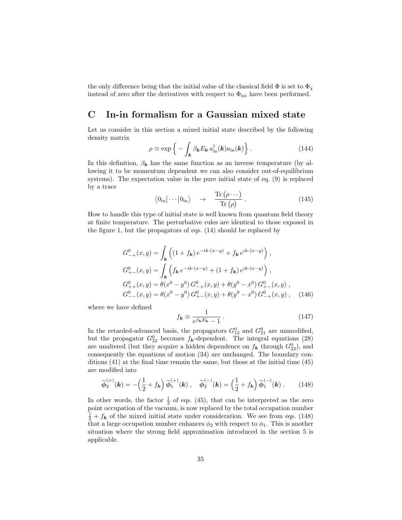the only difference being that the initial value of the classical field  $\Phi$  is set to  $\Phi_{\chi}$ instead of zero after the derivatives with respect to  $\Phi_{\text{ini}}$  have been performed.

# C In-in formalism for a Gaussian mixed state

Let us consider in this section a mixed initial state described by the following density matrix

$$
\rho \equiv \exp\left\{-\int_{\mathbf{k}} \beta_{\mathbf{k}} E_{\mathbf{k}} a_{\text{in}}^{\dagger}(\mathbf{k}) a_{\text{in}}(\mathbf{k})\right\}.
$$
 (144)

In this definition,  $\beta_k$  has the same function as an inverse temperature (by allowing it to be momentum dependent we can also consider out-of-equilibrium systems). The expectation value in the pure initial state of eq. (9) is replaced by a trace

$$
\langle 0_{\rm in} | \cdots | 0_{\rm in} \rangle \quad \rightarrow \quad \frac{\text{Tr}\left(\rho \cdots\right)}{\text{Tr}\left(\rho\right)} \,. \tag{145}
$$

How to handle this type of initial state is well known from quantum field theory at finite temperature. The perturbative rules are identical to those exposed in the figure 1, but the propagators of eqs. (14) should be replaced by

$$
G_{-+}^{0}(x,y) = \int_{\mathbf{k}} \left( (1+f_{\mathbf{k}}) e^{-ik \cdot (x-y)} + f_{\mathbf{k}} e^{ik \cdot (x-y)} \right),
$$
  
\n
$$
G_{+-}^{0}(x,y) = \int_{\mathbf{k}} \left( f_{\mathbf{k}} e^{-ik \cdot (x-y)} + (1+f_{\mathbf{k}}) e^{ik \cdot (x-y)} \right),
$$
  
\n
$$
G_{++}^{0}(x,y) = \theta(x^{0} - y^{0}) G_{-+}^{0}(x,y) + \theta(y^{0} - x^{0}) G_{+-}^{0}(x,y),
$$
  
\n
$$
G_{--}^{0}(x,y) = \theta(x^{0} - y^{0}) G_{+-}^{0}(x,y) + \theta(y^{0} - x^{0}) G_{-+}^{0}(x,y), \quad (146)
$$

where we have defined

$$
f_{\mathbf{k}} \equiv \frac{1}{e^{\beta_{\mathbf{k}}E_{\mathbf{k}}} - 1} \,. \tag{147}
$$

In the retarded-advanced basis, the propagators  $G_{12}^0$  and  $G_{21}^0$  are unmodified, but the propagator  $G_{22}^0$  becomes  $f_{\mathbf{k}}$ -dependent. The integral equations (28) are unaltered (but they acquire a hidden dependence on  $f_{\mathbf{k}}$  through  $G_{22}^0$ ), and consequently the equations of motion (34) are unchanged. The boundary conditions (41) at the final time remain the same, but those at the initial time (45) are modified into

$$
\widetilde{\phi}_2^{(+)}(\mathbf{k}) = -\left(\frac{1}{2} + f_{\mathbf{k}}\right) \widetilde{\phi}_1^{(+)}(\mathbf{k}), \quad \widetilde{\phi}_2^{(-)}(\mathbf{k}) = \left(\frac{1}{2} + f_{\mathbf{k}}\right) \widetilde{\phi}_1^{(-)}(\mathbf{k}). \tag{148}
$$

In other words, the factor  $\frac{1}{2}$  of eqs. (45), that can be interpreted as the zero point occupation of the vacuum, is now replaced by the total occupation number  $\frac{1}{2} + f_{\mathbf{k}}$  of the mixed initial state under consideration. We see from eqs. (148) that a large occupation number enhances  $\phi_2$  with respect to  $\phi_1$ . This is another situation where the strong field approximation introduced in the section 5 is applicable.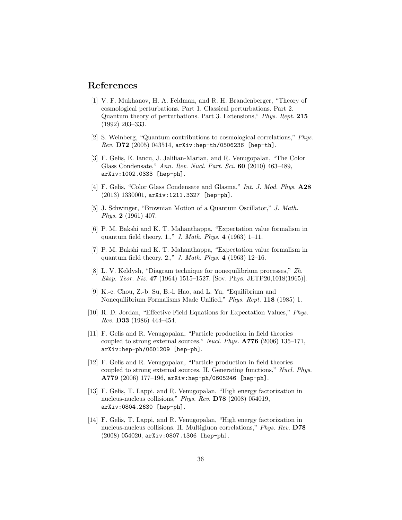# References

- [1] V. F. Mukhanov, H. A. Feldman, and R. H. Brandenberger, "Theory of cosmological perturbations. Part 1. Classical perturbations. Part 2. Quantum theory of perturbations. Part 3. Extensions," Phys. Rept. 215 (1992) 203–333.
- [2] S. Weinberg, "Quantum contributions to cosmological correlations," Phys.  $Rev. D72 (2005) 043514$ ,  $arXiv:hep-th/0506236 [hep-th].$
- [3] F. Gelis, E. Iancu, J. Jalilian-Marian, and R. Venugopalan, "The Color Glass Condensate," Ann. Rev. Nucl. Part. Sci. 60 (2010) 463–489, arXiv:1002.0333 [hep-ph].
- [4] F. Gelis, "Color Glass Condensate and Glasma," Int. J. Mod. Phys. A28 (2013) 1330001, arXiv:1211.3327 [hep-ph].
- [5] J. Schwinger, "Brownian Motion of a Quantum Oscillator," J. Math. Phys. 2 (1961) 407.
- [6] P. M. Bakshi and K. T. Mahanthappa, "Expectation value formalism in quantum field theory. 1.," J. Math. Phys. 4 (1963) 1–11.
- [7] P. M. Bakshi and K. T. Mahanthappa, "Expectation value formalism in quantum field theory. 2.," J. Math. Phys. 4 (1963) 12–16.
- [8] L. V. Keldysh, "Diagram technique for nonequilibrium processes," Zh. Eksp. Teor. Fiz. 47 (1964) 1515–1527. [Sov. Phys. JETP20,1018(1965)].
- [9] K.-c. Chou, Z.-b. Su, B.-l. Hao, and L. Yu, "Equilibrium and Nonequilibrium Formalisms Made Unified," Phys. Rept. 118 (1985) 1.
- [10] R. D. Jordan, "Effective Field Equations for Expectation Values," Phys. Rev. D33 (1986) 444–454.
- [11] F. Gelis and R. Venugopalan, "Particle production in field theories coupled to strong external sources," Nucl. Phys. A776 (2006) 135–171, arXiv:hep-ph/0601209 [hep-ph].
- [12] F. Gelis and R. Venugopalan, "Particle production in field theories coupled to strong external sources. II. Generating functions," Nucl. Phys. A779 (2006) 177–196, arXiv:hep-ph/0605246 [hep-ph].
- [13] F. Gelis, T. Lappi, and R. Venugopalan, "High energy factorization in nucleus-nucleus collisions," Phys. Rev. D78 (2008) 054019, arXiv:0804.2630 [hep-ph].
- [14] F. Gelis, T. Lappi, and R. Venugopalan, "High energy factorization in nucleus-nucleus collisions. II. Multigluon correlations," Phys. Rev. D78 (2008) 054020, arXiv:0807.1306 [hep-ph].